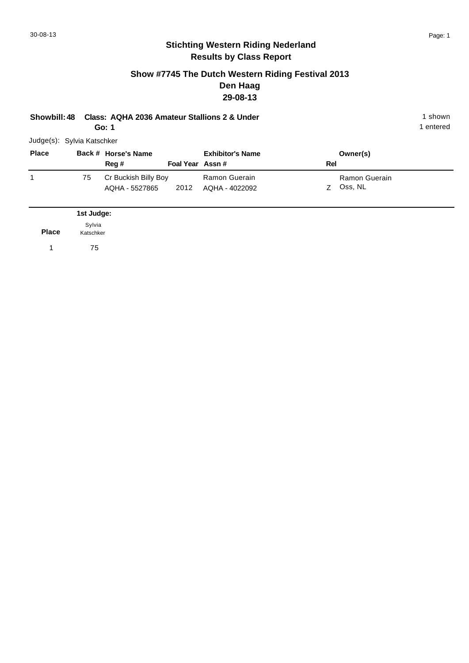#### **Show #7745 The Dutch Western Riding Festival 2013 Den Haag 29-08-13**

**Showbill: 48 Class: AQHA 2036 Amateur Stallions 2 & Under** 1 **Shown** 1 shown **Go: 1**

| Judge(s): Sylvia Katschker |    |                                        |                 |                                 |     |                            |  |  |  |
|----------------------------|----|----------------------------------------|-----------------|---------------------------------|-----|----------------------------|--|--|--|
| <b>Place</b>               |    | Back # Horse's Name                    |                 | <b>Exhibitor's Name</b>         |     | Owner(s)                   |  |  |  |
|                            |    | Reg#                                   | Foal Year Assn# |                                 | Rel |                            |  |  |  |
|                            | 75 | Cr Buckish Billy Boy<br>AQHA - 5527865 | 2012            | Ramon Guerain<br>AQHA - 4022092 |     | Ramon Guerain<br>Z Oss, NL |  |  |  |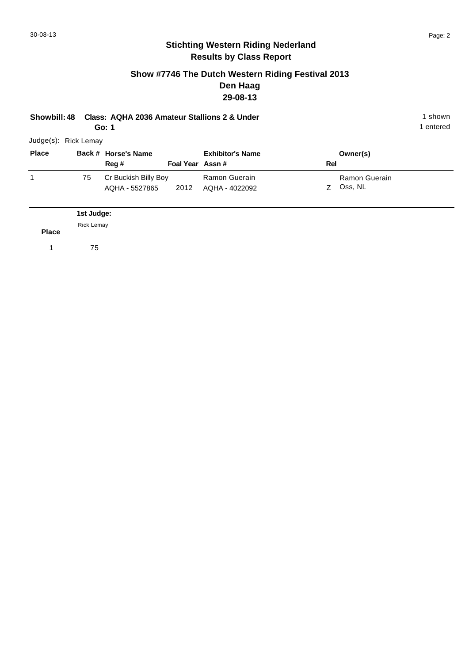#### **Show #7746 The Dutch Western Riding Festival 2013 Den Haag 29-08-13**

**Showbill: 48 Class: AQHA 2036 Amateur Stallions 2 & Under** 1 **Shown** 1 shown

**Go: 1**

1 entered

| <b>Place</b> |    | Back # Horse's Name  |                 | <b>Exhibitor's Name</b> | Owner(s)      |
|--------------|----|----------------------|-----------------|-------------------------|---------------|
|              |    | Reg #                | Foal Year Assn# |                         | Rel           |
|              | 75 | Cr Buckish Billy Boy |                 | Ramon Guerain           | Ramon Guerain |
|              |    | AQHA - 5527865       | 2012            | AQHA - 4022092          | Oss, NL<br>7  |

**Place 1st Judge:**  1 75 Rick Lemay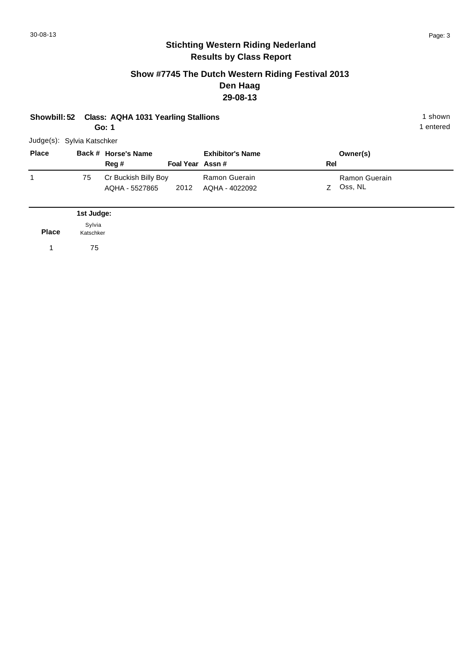#### **Show #7745 The Dutch Western Riding Festival 2013 Den Haag 29-08-13**

|  | Showbill: 52 Class: AQHA 1031 Yearling Stallions | 1 shown |
|--|--------------------------------------------------|---------|
|--|--------------------------------------------------|---------|

**Go: 1**

| <b>Place</b> |    | Back # Horse's Name                    |                 | <b>Exhibitor's Name</b>         |     | Owner(s)                 |
|--------------|----|----------------------------------------|-----------------|---------------------------------|-----|--------------------------|
|              |    | Reg #                                  | Foal Year Assn# |                                 | Rel |                          |
|              | 75 | Cr Buckish Billy Boy<br>AQHA - 5527865 | 2012            | Ramon Guerain<br>AQHA - 4022092 | 7   | Ramon Guerain<br>Oss, NL |

|              | 1st Judge:          |
|--------------|---------------------|
| <b>Place</b> | Sylvia<br>Katschker |
|              | 75                  |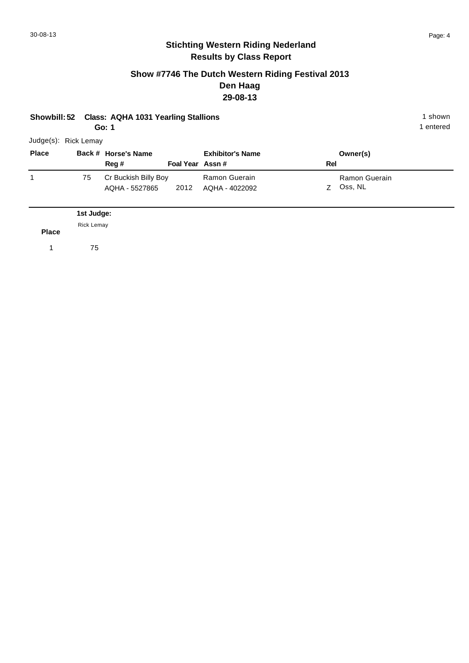#### **Show #7746 The Dutch Western Riding Festival 2013 Den Haag 29-08-13**

# **Showbill: 52 Class: AQHA 1031 Yearling Stallions** 1 shown

**Go: 1**

1 entered

| <b>Place</b> |            | Back # Horse's Name                    |                 | <b>Exhibitor's Name</b>         |     | Owner(s)                 |
|--------------|------------|----------------------------------------|-----------------|---------------------------------|-----|--------------------------|
|              |            | Reg #                                  | Foal Year Assn# |                                 | Rel |                          |
|              | 75         | Cr Buckish Billy Boy<br>AQHA - 5527865 | 2012            | Ramon Guerain<br>AQHA - 4022092 | 7   | Ramon Guerain<br>Oss, NL |
|              | 1st Judge: |                                        |                 |                                 |     |                          |

**Place** Rick Lemay

1 75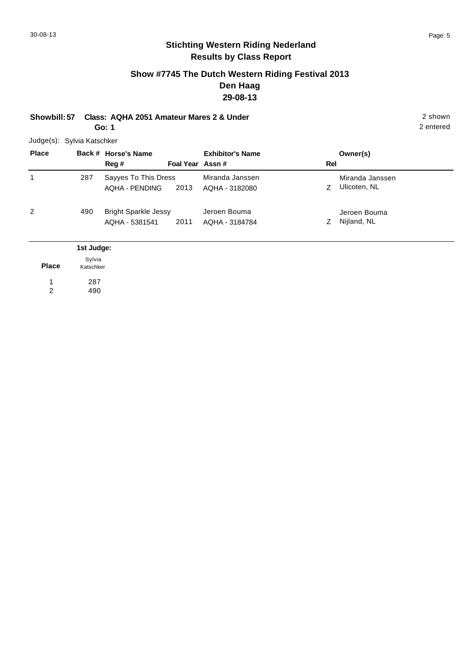#### **Show #7745 The Dutch Western Riding Festival 2013 Den Haag 29-08-13**

**Showbill: 57 Class: AQHA 2051 Amateur Mares 2 & Under** 2 shown **Go: 1**

Judge(s): Sylvia Katschker **Back # Horse's Name Place Owner(s) Reg # Assn # Foal Year Rel Exhibitor's Name** 1 Z Ulicoten, NL Miranda Janssen 2013 Ulicoten, NL AQHA - 3182080 Sayyes To This Dress AQHA - PENDING Miranda Janssen 287 2 Z Nijland, NL Jeroen Bouma 2011 AQHA - 3184784 Z Nijland, NL Bright Sparkle Jessy AQHA - 5381541 Jeroen Bouma 490 **1st Judge:** 

|              | <b>1st Judge:</b> |
|--------------|-------------------|
|              | Sylvia            |
| <b>Place</b> | Katschker         |
|              | 287               |
| 2            | 490               |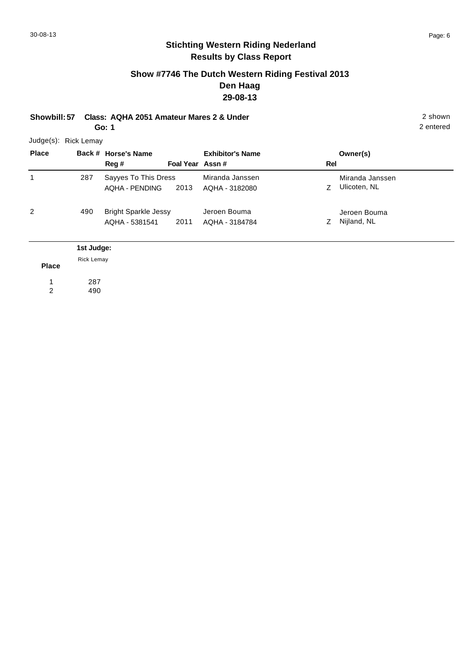## **Show #7746 The Dutch Western Riding Festival 2013 Den Haag 29-08-13**

**Showbill: 57 Class: AQHA 2051 Amateur Mares 2 & Under** 2 shown **Go: 1**

> 287 490

1 2

| Judge(s): Rick Lemay |                   |                             |                 |                         |     |                 |
|----------------------|-------------------|-----------------------------|-----------------|-------------------------|-----|-----------------|
| <b>Place</b>         |                   | Back # Horse's Name         |                 | <b>Exhibitor's Name</b> |     | Owner(s)        |
|                      |                   | Reg #                       | Foal Year Assn# |                         | Rel |                 |
|                      | 287               | Sayyes To This Dress        |                 | Miranda Janssen         |     | Miranda Janssen |
|                      |                   | <b>AQHA - PENDING</b>       | 2013            | AQHA - 3182080          | Z.  | Ulicoten, NL    |
| 2                    | 490               | <b>Bright Sparkle Jessy</b> |                 | Jeroen Bouma            |     | Jeroen Bouma    |
|                      |                   | AQHA - 5381541              | 2011            | AQHA - 3184784          | Z   | Nijland, NL     |
|                      | 1st Judge:        |                             |                 |                         |     |                 |
| <b>Place</b>         | <b>Rick Lemay</b> |                             |                 |                         |     |                 |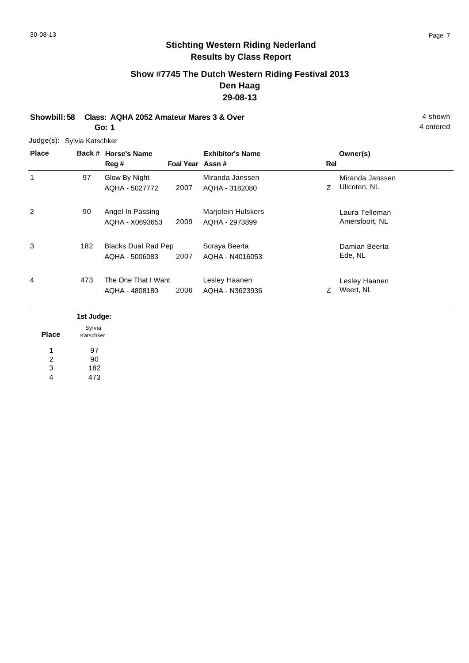# **Show #7745 The Dutch Western Riding Festival 2013 Den Haag 29-08-13**

**Showbill: 58 Class: AQHA 2052 Amateur Mares 3 & Over** 4 shown **Go: 1**

Judge(s): Sylvia Katschker

| <b>Place</b> |            | Back # Horse's Name<br>Reg #          | Foal Year Assn# | <b>Exhibitor's Name</b>              | <b>Rel</b> | Owner(s)                         |
|--------------|------------|---------------------------------------|-----------------|--------------------------------------|------------|----------------------------------|
| 1            | 97         | Glow By Night<br>AQHA - 5027772       | 2007            | Miranda Janssen<br>AQHA - 3182080    | Z          | Miranda Janssen<br>Ulicoten, NL  |
| 2            | 90         | Angel In Passing<br>AQHA - X0693653   | 2009            | Marjolein Hulskers<br>AQHA - 2973899 |            | Laura Telleman<br>Amersfoort, NL |
| 3            | 182        | Blacks Dual Rad Pep<br>AQHA - 5006083 | 2007            | Soraya Beerta<br>AQHA - N4016053     |            | Damian Beerta<br>Ede, NL         |
| 4            | 473        | The One That I Want<br>AQHA - 4808180 | 2006            | Lesley Haanen<br>AQHA - N3623936     | Z          | Lesley Haanen<br>Weert, NL       |
|              | 1et ludge. |                                       |                 |                                      |            |                                  |

| <b>Place</b> | Sylvia<br>Katschker |
|--------------|---------------------|
|              | 97                  |
| 2            | 90                  |
| 3            | 182                 |
| 4            | 473                 |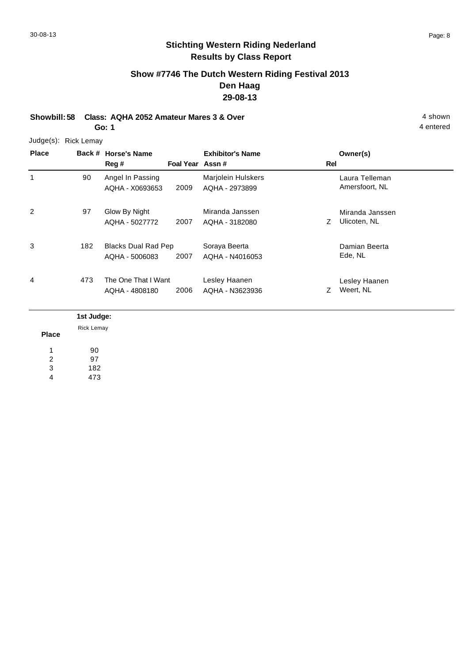# **Show #7746 The Dutch Western Riding Festival 2013 Den Haag 29-08-13**

**Showbill: 58 Class: AQHA 2052 Amateur Mares 3 & Over** 4 shown **Go: 1**

Judge(s): Rick Lemay

| <b>Place</b> |            | Back # Horse's Name<br>Reg # | Foal Year Assn# | <b>Exhibitor's Name</b> | Rel | Owner(s)        |
|--------------|------------|------------------------------|-----------------|-------------------------|-----|-----------------|
| 1            | 90         | Angel In Passing             |                 | Marjolein Hulskers      |     | Laura Telleman  |
|              |            | AQHA - X0693653              | 2009            | AQHA - 2973899          |     | Amersfoort, NL  |
| 2            | 97         | Glow By Night                |                 | Miranda Janssen         |     | Miranda Janssen |
|              |            | AQHA - 5027772               | 2007            | AQHA - 3182080          | Z   | Ulicoten, NL    |
| 3            | 182        | Blacks Dual Rad Pep          |                 | Soraya Beerta           |     | Damian Beerta   |
|              |            | AQHA - 5006083               | 2007            | AQHA - N4016053         |     | Ede, NL         |
| 4            | 473        | The One That I Want          |                 | Lesley Haanen           |     | Lesley Haanen   |
|              |            | AQHA - 4808180               | 2006            | AQHA - N3623936         | Ζ   | Weert, NL       |
|              | 1st Judge: |                              |                 |                         |     |                 |
|              | Rick Lemay |                              |                 |                         |     |                 |

**Place** 90 97 182 473 1 2 3 4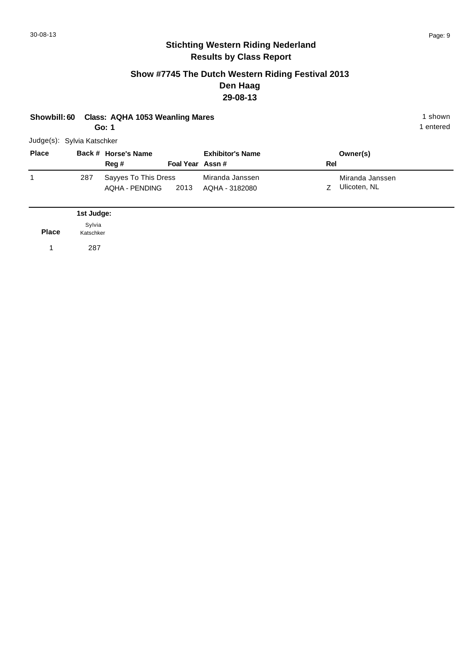#### **Show #7745 The Dutch Western Riding Festival 2013 Den Haag 29-08-13**

| <b>Class: AQHA 1053 Weanling Mares</b><br>Showbill: 60<br>Go: 1 |                     |                                               |                 |                                   |     | 1 shown<br>1 entered            |  |  |
|-----------------------------------------------------------------|---------------------|-----------------------------------------------|-----------------|-----------------------------------|-----|---------------------------------|--|--|
| Judge(s): Sylvia Katschker                                      |                     |                                               |                 |                                   |     |                                 |  |  |
| <b>Place</b>                                                    |                     | Back # Horse's Name<br>Reg#                   | Foal Year Assn# | <b>Exhibitor's Name</b>           | Rel | Owner(s)                        |  |  |
| 1                                                               | 287                 | Sayyes To This Dress<br><b>AQHA - PENDING</b> | 2013            | Miranda Janssen<br>AQHA - 3182080 | Z   | Miranda Janssen<br>Ulicoten, NL |  |  |
|                                                                 | 1st Judge:          |                                               |                 |                                   |     |                                 |  |  |
| <b>Place</b>                                                    | Sylvia<br>Katschker |                                               |                 |                                   |     |                                 |  |  |
| 1                                                               | 287                 |                                               |                 |                                   |     |                                 |  |  |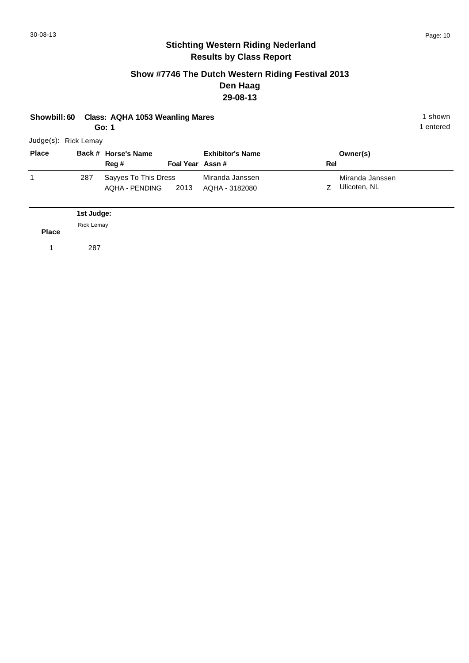#### **Show #7746 The Dutch Western Riding Festival 2013 Den Haag 29-08-13**

|                       | Showbill: 60 Class: AQHA 1053 Weanling Mares | 1 shown   |
|-----------------------|----------------------------------------------|-----------|
|                       | Go: 1                                        | 1 entered |
| $ludna(e)$ Diak Lamou |                                              |           |

| <b>Place</b> |     | Back # Horse's Name                       |                 | <b>Exhibitor's Name</b>           |          | Owner(s)                        |
|--------------|-----|-------------------------------------------|-----------------|-----------------------------------|----------|---------------------------------|
|              |     | Reg#                                      | Foal Year Assn# |                                   | Rel      |                                 |
|              | 287 | Sayyes To This Dress<br>AQHA-PENDING 2013 |                 | Miranda Janssen<br>AQHA - 3182080 | <b>7</b> | Miranda Janssen<br>Ulicoten, NL |

| <b>Rick Lemay</b> |
|-------------------|
| <b>Place</b>      |
| 287<br>1          |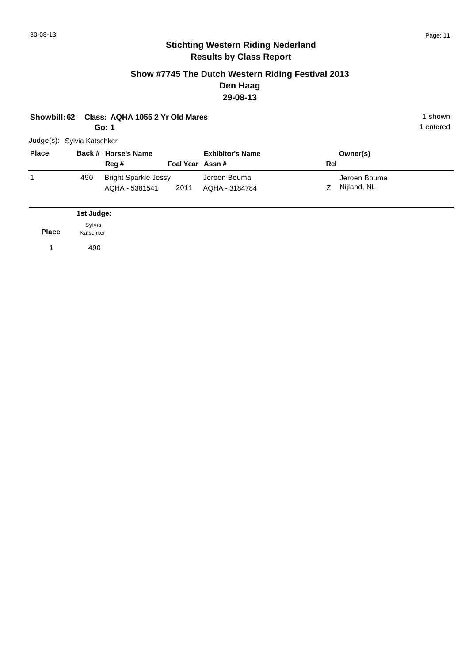#### **Show #7745 The Dutch Western Riding Festival 2013 Den Haag 29-08-13**

| <b>Showbill: 62</b>        |                     | Class: AQHA 1055 2 Yr Old Mares<br>Go: 1      |                 |                                |     |                             | 1 shown<br>1 entered |  |  |
|----------------------------|---------------------|-----------------------------------------------|-----------------|--------------------------------|-----|-----------------------------|----------------------|--|--|
| Judge(s): Sylvia Katschker |                     |                                               |                 |                                |     |                             |                      |  |  |
| <b>Place</b>               |                     | Back # Horse's Name<br>Reg #                  | Foal Year Assn# | <b>Exhibitor's Name</b>        | Rel | Owner(s)                    |                      |  |  |
| 1                          | 490                 | <b>Bright Sparkle Jessy</b><br>AQHA - 5381541 | 2011            | Jeroen Bouma<br>AQHA - 3184784 | Z   | Jeroen Bouma<br>Nijland, NL |                      |  |  |
|                            | 1st Judge:          |                                               |                 |                                |     |                             |                      |  |  |
| <b>Place</b>               | Sylvia<br>Katschker |                                               |                 |                                |     |                             |                      |  |  |
| 1                          | 490                 |                                               |                 |                                |     |                             |                      |  |  |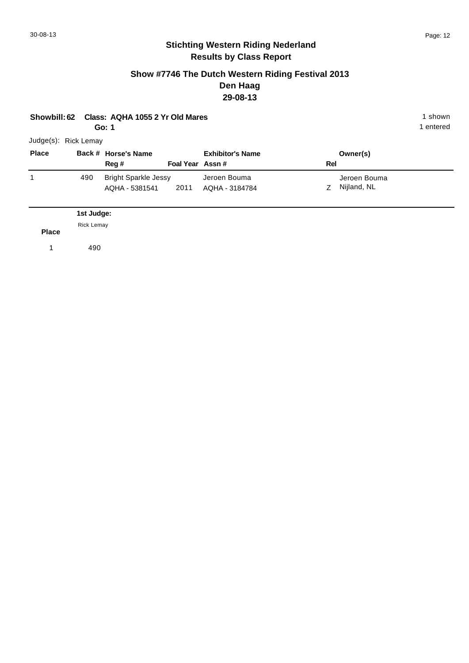#### **Show #7746 The Dutch Western Riding Festival 2013 Den Haag 29-08-13**

| Class: AQHA 1055 2 Yr Old Mares<br>Showbill: 62<br>Go: 1 |                                 |                                               |                 |                                |     |                             | 1 shown<br>1 entered |  |  |
|----------------------------------------------------------|---------------------------------|-----------------------------------------------|-----------------|--------------------------------|-----|-----------------------------|----------------------|--|--|
| Judge(s): Rick Lemay                                     |                                 |                                               |                 |                                |     |                             |                      |  |  |
| <b>Place</b>                                             |                                 | Back # Horse's Name<br>Reg #                  | Foal Year Assn# | <b>Exhibitor's Name</b>        | Rel | Owner(s)                    |                      |  |  |
| 1                                                        | 490                             | <b>Bright Sparkle Jessy</b><br>AQHA - 5381541 | 2011            | Jeroen Bouma<br>AQHA - 3184784 | Z   | Jeroen Bouma<br>Nijland, NL |                      |  |  |
|                                                          | 1st Judge:<br><b>Rick Lemay</b> |                                               |                 |                                |     |                             |                      |  |  |
| <b>Place</b><br>и                                        | 490                             |                                               |                 |                                |     |                             |                      |  |  |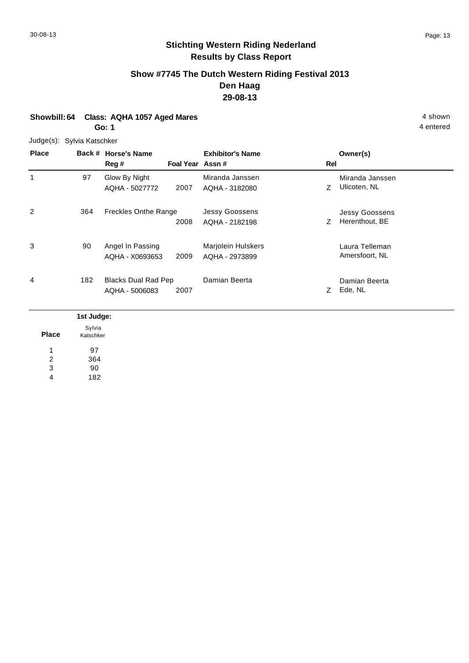## **Show #7745 The Dutch Western Riding Festival 2013 Den Haag 29-08-13**

#### **Showbill: 64 Class: AQHA 1057 Aged Mares 4 shown Go: 1**

Judge(s): Sylvia Katschker

| <b>Place</b> |                           | Back # Horse's Name<br>Reg #                 | Foal Year Assn# | <b>Exhibitor's Name</b>                 | Rel | Owner(s)                                |
|--------------|---------------------------|----------------------------------------------|-----------------|-----------------------------------------|-----|-----------------------------------------|
| 1            | 97                        | Glow By Night<br>AQHA - 5027772              | 2007            | Miranda Janssen<br>AQHA - 3182080       | Z   | Miranda Janssen<br>Ulicoten, NL         |
| 2            | 364                       | <b>Freckles Onthe Range</b>                  | 2008            | <b>Jessy Goossens</b><br>AQHA - 2182198 | Z   | <b>Jessy Goossens</b><br>Herenthout, BE |
| 3            | 90                        | Angel In Passing<br>AQHA - X0693653          | 2009            | Marjolein Hulskers<br>AQHA - 2973899    |     | Laura Telleman<br>Amersfoort, NL        |
| 4            | 182                       | <b>Blacks Dual Rad Pep</b><br>AQHA - 5006083 | 2007            | Damian Beerta                           | Z   | Damian Beerta<br>Ede, NL                |
|              | all and the collection of |                                              |                 |                                         |     |                                         |

|              | 1st Judge: |
|--------------|------------|
|              | Sylvia     |
| <b>Place</b> | Katschker  |
|              | 97         |
| 2            | 364        |
| 3            | 90         |
| 4            | 182        |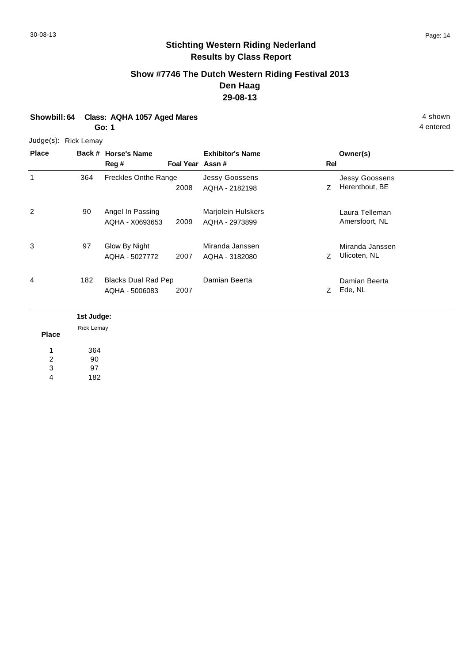1

3

4

4 entered

## **Stichting Western Riding Nederland Results by Class Report**

#### **Show #7746 The Dutch Western Riding Festival 2013 Den Haag 29-08-13**

# **Showbill: 64 Class: AQHA 1057 Aged Mares** 4 shown

**Go: 1**

#### Judge(s): Rick Lemay

364

90

97

**Back # Horse's Name Place Owner(s) Reg # Assn # Foal Year Rel Exhibitor's Name** 2008 AQHA - 2182198 2 Z Herenthout, BE Jessy Goossens Freckles Onthe Range Jessy Goossens AQHA - 2182198 2 90 Angel In Passing Marjolein Hulskers Laura Telleman 2009 Amersfoort, NL AQHA - 2973899 AQHA - X0693653 Marjolein Hulskers Z Ulicoten, NL Miranda Janssen 2007 AQHA - 3182080 Z Ulicoten, NL Glow By Night AQHA - 5027772 Miranda Janssen

Damian Beerta

Z 2007 Ede, NL

|              | 1st Judge:        |
|--------------|-------------------|
|              | <b>Rick Lemay</b> |
| <b>Place</b> |                   |
| л            | 364               |
| 2            | 90                |
| 3            | 97                |
| 4            | 182               |

Blacks Dual Rad Pep 182 Damian Beerta

AQHA - 5006083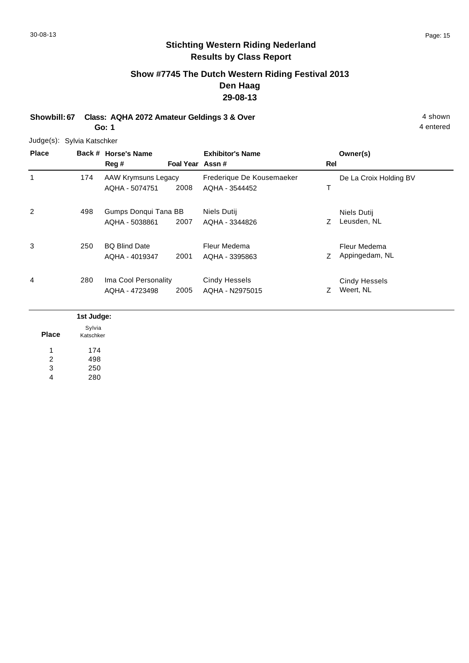## **Show #7745 The Dutch Western Riding Festival 2013 Den Haag 29-08-13**

**Showbill: 67 Class: AQHA 2072 Amateur Geldings 3 & Over** 4 shown 4 shown **Go: 1**

4 entered

Judge(s): Sylvia Katschker

| <b>Place</b> |     | Back # Horse's Name<br>Reg #           | Foal Year Assn# | <b>Exhibitor's Name</b>                     | Rel | Owner(s)                          |
|--------------|-----|----------------------------------------|-----------------|---------------------------------------------|-----|-----------------------------------|
| 1            | 174 | AAW Krymsuns Legacy<br>AQHA - 5074751  | 2008            | Frederique De Kousemaeker<br>AQHA - 3544452 | Т   | De La Croix Holding BV            |
| 2            | 498 | Gumps Donqui Tana BB<br>AQHA - 5038861 | 2007            | Niels Dutij<br>AQHA - 3344826               | Ζ   | Niels Dutij<br>Leusden, NL        |
| 3            | 250 | <b>BQ Blind Date</b><br>AQHA - 4019347 | 2001            | Fleur Medema<br>AQHA - 3395863              | Ζ   | Fleur Medema<br>Appingedam, NL    |
| 4            | 280 | Ima Cool Personality<br>AQHA - 4723498 | 2005            | <b>Cindy Hessels</b><br>AQHA - N2975015     | Z   | <b>Cindy Hessels</b><br>Weert, NL |

|              | 1st Judge:          |
|--------------|---------------------|
| <b>Place</b> | Sylvia<br>Katschker |
|              | 174                 |
| 2            | 498                 |
| 3            | 250                 |
| 4            | 280                 |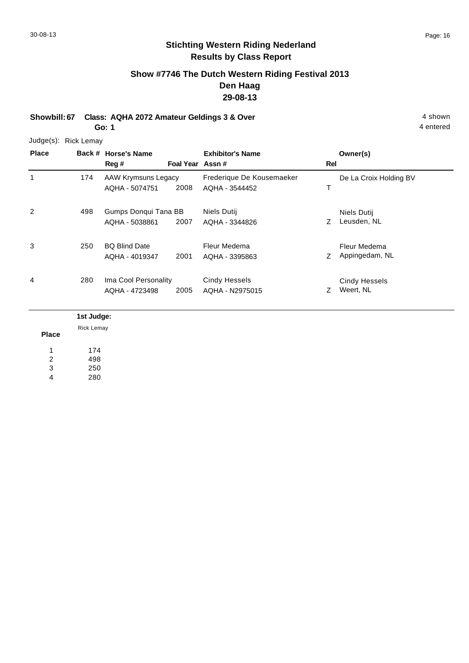# **Show #7746 The Dutch Western Riding Festival 2013 Den Haag 29-08-13**

**Showbill: 67 Class: AQHA 2072 Amateur Geldings 3 & Over** 4 shown 4 shown **Go: 1**

Judge(s): Rick Lemay

| <b>Place</b> | Back #     | <b>Horse's Name</b><br>Reg #           | Foal Year Assn# | <b>Exhibitor's Name</b>                     | Rel | Owner(s)                          |
|--------------|------------|----------------------------------------|-----------------|---------------------------------------------|-----|-----------------------------------|
| 1            | 174        | AAW Krymsuns Legacy<br>AQHA - 5074751  | 2008            | Frederique De Kousemaeker<br>AQHA - 3544452 | Т   | De La Croix Holding BV            |
| 2            | 498        | Gumps Donqui Tana BB<br>AQHA - 5038861 | 2007            | Niels Dutij<br>AQHA - 3344826               | Ζ   | Niels Dutij<br>Leusden, NL        |
| 3            | 250        | <b>BQ Blind Date</b><br>AQHA - 4019347 | 2001            | Fleur Medema<br>AQHA - 3395863              | Z   | Fleur Medema<br>Appingedam, NL    |
| 4            | 280        | Ima Cool Personality<br>AQHA - 4723498 | 2005            | <b>Cindy Hessels</b><br>AQHA - N2975015     | 7   | <b>Cindy Hessels</b><br>Weert, NL |
|              | 1st Judge: |                                        |                 |                                             |     |                                   |

**Place**

174 498 250 280 1 2 3 4

Rick Lemay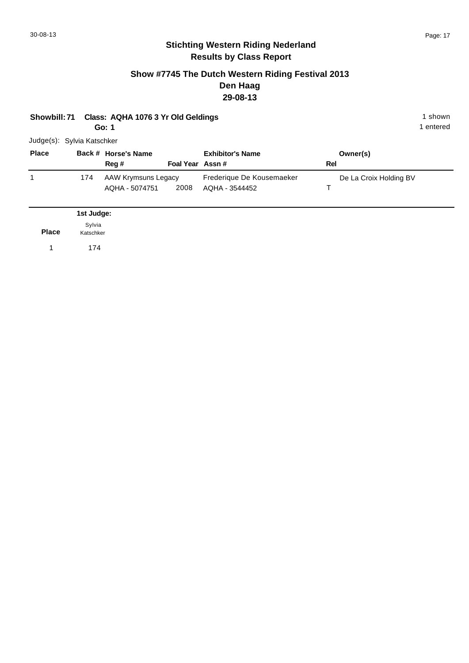#### **Show #7745 The Dutch Western Riding Festival 2013 Den Haag 29-08-13**

# **Showbill: 71 Class: AQHA 1076 3 Yr Old Geldings** 1 shown

**Go: 1**

| Judge(s): Sylvia Katschker |  |
|----------------------------|--|
|                            |  |

| <b>Place</b> |     | Back # Horse's Name                   |                 | <b>Exhibitor's Name</b>                     | Owner(s)               |
|--------------|-----|---------------------------------------|-----------------|---------------------------------------------|------------------------|
|              |     | Rea #                                 | Foal Year Assn# |                                             | Rel                    |
|              | 174 | AAW Krymsuns Legacy<br>AQHA - 5074751 | 2008            | Frederique De Kousemaeker<br>AQHA - 3544452 | De La Croix Holding BV |

|       | 1st Judge:          |
|-------|---------------------|
| Place | Sylvia<br>Katschker |
|       | 174                 |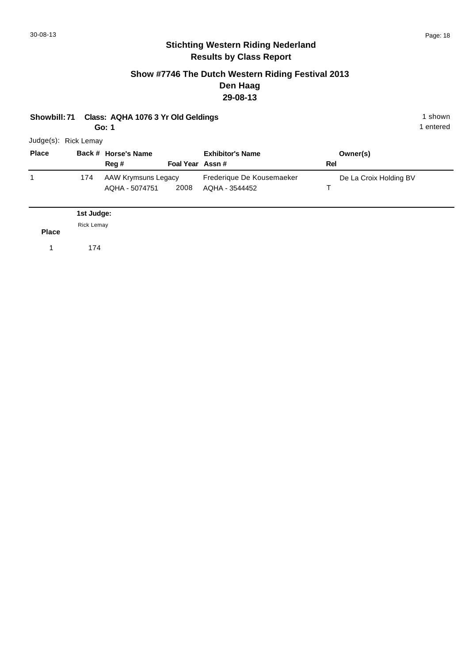#### **Show #7746 The Dutch Western Riding Festival 2013 Den Haag 29-08-13**

#### **Showbill: 71 Class: AQHA 1076 3 Yr Old Geldings 1 shown 1 shown 1 shown**

**Go: 1**

| <b>Place</b> |     | Back # Horse's Name |                 | <b>Exhibitor's Name</b>   | Owner(s)               |
|--------------|-----|---------------------|-----------------|---------------------------|------------------------|
|              |     | Reg#                | Foal Year Assn# |                           | Rel                    |
|              | 174 | AAW Krymsuns Legacy |                 | Frederique De Kousemaeker | De La Croix Holding BV |
|              |     | AQHA - 5074751      | 2008            | AQHA - 3544452            |                        |

|              | 1st Judge:        |
|--------------|-------------------|
|              | <b>Rick Lemay</b> |
| <b>Place</b> |                   |
| $\sim$       | 174               |
|              |                   |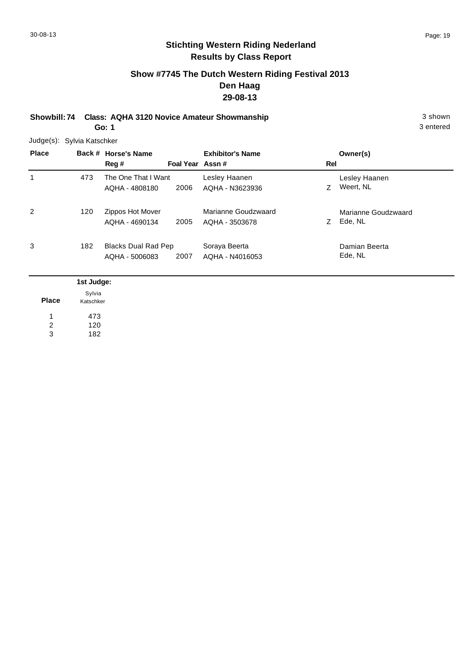# **Show #7745 The Dutch Western Riding Festival 2013 Den Haag 29-08-13**

**Showbill: 74 Class: AQHA 3120 Novice Amateur Showmanship** 3 shown 3 shown **Go: 1**

3 entered

Judge(s): Sylvia Katschker

| <b>Place</b> |     | Back # Horse's Name<br>Reg #                 | Foal Year Assn# | <b>Exhibitor's Name</b>               | Rel | Owner(s)                       |
|--------------|-----|----------------------------------------------|-----------------|---------------------------------------|-----|--------------------------------|
| 1            | 473 | The One That I Want<br>AQHA - 4808180        | 2006            | Lesley Haanen<br>AQHA - N3623936      | Z   | Lesley Haanen<br>Weert. NL     |
| 2            | 120 | Zippos Hot Mover<br>AQHA - 4690134           | 2005            | Marianne Goudzwaard<br>AQHA - 3503678 | Z.  | Marianne Goudzwaard<br>Ede, NL |
| 3            | 182 | <b>Blacks Dual Rad Pep</b><br>AQHA - 5006083 | 2007            | Soraya Beerta<br>AQHA - N4016053      |     | Damian Beerta<br>Ede, NL       |

|              | 1st Judge:          |
|--------------|---------------------|
| <b>Place</b> | Sylvia<br>Katschker |
| л            | 473                 |
| 2<br>3       | 120<br>182          |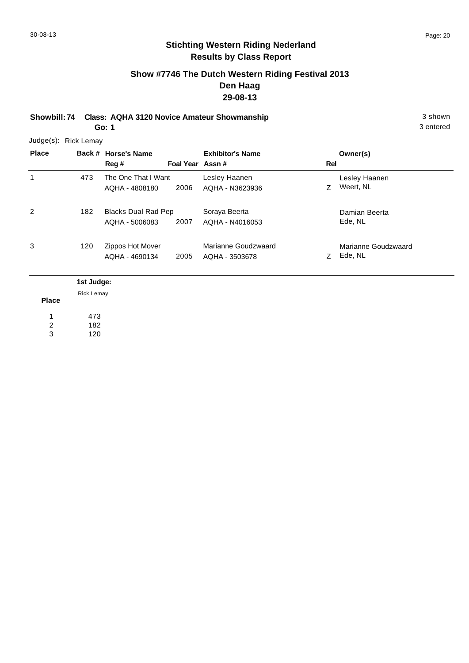# **Show #7746 The Dutch Western Riding Festival 2013 Den Haag 29-08-13**

**Showbill: 74 Class: AQHA 3120 Novice Amateur Showmanship** 3 shown 3 shown

**Go: 1**

3 entered

Judge(s): Rick Lemay

| <b>Place</b> |     | Back # Horse's Name<br>Reg #                 | Foal Year Assn# | <b>Exhibitor's Name</b>               | Rel | Owner(s)                       |
|--------------|-----|----------------------------------------------|-----------------|---------------------------------------|-----|--------------------------------|
| 1            | 473 | The One That I Want<br>AQHA - 4808180        | 2006            | Lesley Haanen<br>AQHA - N3623936      |     | Lesley Haanen<br>Weert, NL     |
| 2            | 182 | <b>Blacks Dual Rad Pep</b><br>AQHA - 5006083 | 2007            | Soraya Beerta<br>AQHA - N4016053      |     | Damian Beerta<br>Ede, NL       |
| 3            | 120 | Zippos Hot Mover<br>AQHA - 4690134           | 2005            | Marianne Goudzwaard<br>AOHA - 3503678 |     | Marianne Goudzwaard<br>Ede, NL |

|              | 1st Judge: |
|--------------|------------|
|              | Rick Lemay |
| <b>Place</b> |            |
|              | 473        |
| 2            | 182        |
| 3            | 120        |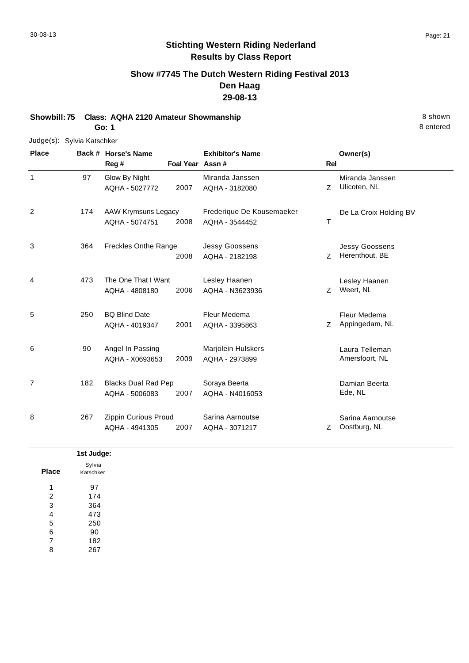# **Show #7745 The Dutch Western Riding Festival 2013 Den Haag 29-08-13**

**Showbill: 75 Class: AQHA 2120 Amateur Showmanship 8 shown 8 shown 8 shown Go: 1**

#### Judge(s): Sylvia Katschker

**Back # Horse's Name Place Owner(s) Reg # Assn # Foal Year Rel Exhibitor's Name** 1 Z Ulicoten, NL Miranda Janssen 2007 AQHA - 3182080 Z Ulicoten, NL Glow By Night AQHA - 5027772 Miranda Janssen 97 2 T De La Croix Holding BV 2008 AAW Krymsuns Legacy AQHA - 5074751 Frederique De Kousemaeker AQHA - 3544452 174 3 2008 AQHA - 2182198 2 Z Herenthout, BE Jessy Goossens Freckles Onthe Range Jessy Goossens AQHA - 2182198 364 4 Z Weert, NL Lesley Haanen 2006 Weert, NL AQHA - N3623936 The One That I Want AQHA - 4808180 Lesley Haanen 473 5 2001 AQHA - 3395863 Z Appingedam, NL Fleur Medema BQ Blind Date AQHA - 4019347 Fleur Medema AQHA - 3395863 250 6 Laura Telleman Marjolein Hulskers 2009 Amersfoort, NL AQHA - 2973899 Angel In Passing AQHA - X0693653 90 7 182 Blacks Dual Rad Pep Soraya Beerta **Damian Beerta** by Damian Beerta 2007 Ede, NL AQHA - N4016053 AQHA - 5006083 Soraya Beerta 182 8 Z Oostburg, NL Sarina Aarnoutse 2007 AQHA - 3071217 Z Oostburg, NL Zippin Curious Proud AQHA - 4941305 Sarina Aarnoutse 267

|              | 1st Judge: |
|--------------|------------|
|              | Sylvia     |
| <b>Place</b> | Katschker  |
| 1            | 97         |
| 2            | 174        |
| 3            | 364        |
| 4            | 473        |
| 5            | 250        |
| 6            | 90         |
| 7            | 182        |
| 8            | 267        |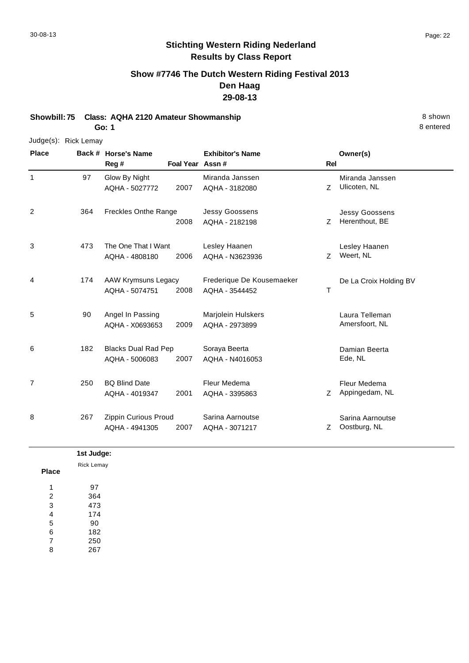# **Show #7746 The Dutch Western Riding Festival 2013 Den Haag 29-08-13**

**Showbill: 75 Class: AQHA 2120 Amateur Showmanship** 8 shown **Go: 1**

#### Judge(s): Rick Lemay

**Back # Horse's Name Place Owner(s) Reg # Assn # Foal Year Rel Exhibitor's Name** 1 Z Ulicoten, NL Miranda Janssen 2007 AQHA - 3182080 Z Ulicoten, NL Glow By Night AQHA - 5027772 Miranda Janssen 97 2 Z Herenthout, BE Jessy Goossens 2008 Herenthout, BE AQHA - 2182198 Freckles Onthe Range Jessy Goossens 364 3 Z Weert, NL Lesley Haanen 2006 Weert, NL AQHA - N3623936 The One That I Want AQHA - 4808180 Lesley Haanen 473 4 T De La Croix Holding BV 2008 AAW Krymsuns Legacy AQHA - 5074751 Frederique De Kousemaeker AQHA - 3544452 174 5 Laura Telleman Marjolein Hulskers 2009 Amersfoort, NL AQHA - 2973899 Angel In Passing AQHA - X0693653 90 6 6 182 Blacks Dual Rad Pep Soraya Beerta 1988 1989 Damian Beerta 2007 Ede, NL AQHA - N4016053 AQHA - 5006083 Soraya Beerta 182 7 2001 AQHA - 3395863 Z Appingedam, NL Fleur Medema BQ Blind Date AQHA - 4019347 Fleur Medema AQHA - 3395863 250 8 Z Oostburg, NL Sarina Aarnoutse 2007 AQHA - 3071217 Z Oostburg, NL Zippin Curious Proud AQHA - 4941305 Sarina Aarnoutse 267

|              | 1st Judge:        |
|--------------|-------------------|
|              | <b>Rick Lemay</b> |
| <b>Place</b> |                   |
| и            | 97                |
| 2            | 364               |
| 3            | 473               |
| 4            | 174               |
| 5            | 90                |
| 6            | 182               |
| 7            | 250               |
| 8            | 267               |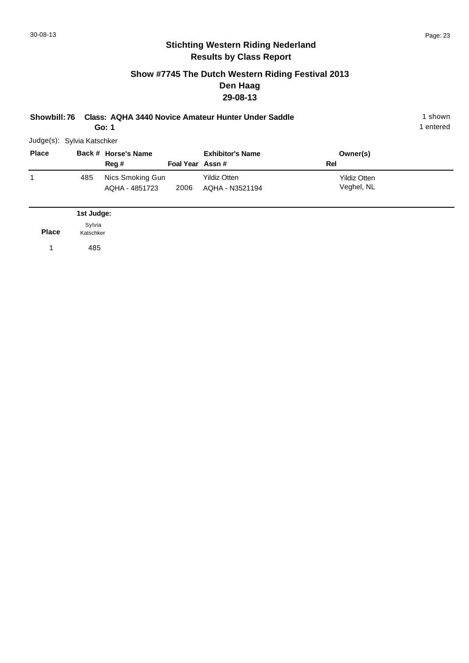#### **Show #7745 The Dutch Western Riding Festival 2013 Den Haag 29-08-13**

| Showbill: 76 Class: AQHA 3440 Novice Amateur Hunter Under Saddle | 1 shown |
|------------------------------------------------------------------|---------|
| Go: 1                                                            | entered |

Judge(s): Sylvia Katschker

| <b>Place</b> |     | Back # Horse's Name                |                 | <b>Exhibitor's Name</b>                | Owner(s)                          |  |
|--------------|-----|------------------------------------|-----------------|----------------------------------------|-----------------------------------|--|
|              |     | Reg #                              | Foal Year Assn# |                                        | Rel                               |  |
|              | 485 | Nics Smoking Gun<br>AQHA - 4851723 | 2006            | <b>Yildiz Otten</b><br>AQHA - N3521194 | <b>Yildiz Otten</b><br>Veghel, NL |  |

|              | 1st Judge:          |
|--------------|---------------------|
| <b>Place</b> | Sylvia<br>Katschker |
|              | 485                 |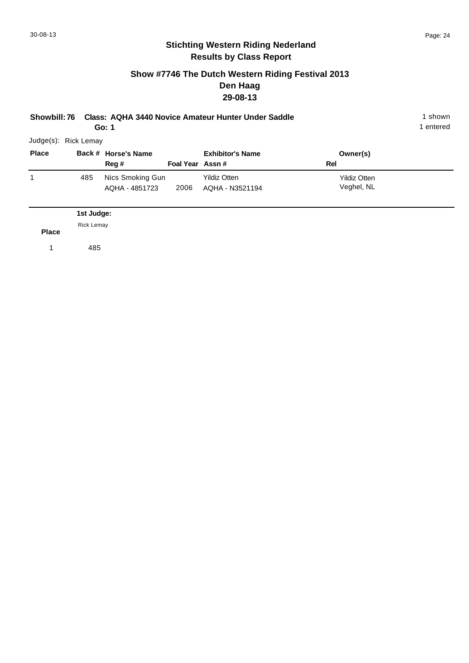#### **Show #7746 The Dutch Western Riding Festival 2013 Den Haag 29-08-13**

**Showbill: 76 Class: AQHA 3440 Novice Amateur Hunter Under Saddle** 1 shown

1 entered

Judge(s): Rick Lemay

**Go: 1**

| <b>Place</b> |     | Back # Horse's Name                |                 | <b>Exhibitor's Name</b>                | Owner(s)                          |  |
|--------------|-----|------------------------------------|-----------------|----------------------------------------|-----------------------------------|--|
|              |     | Reg #                              | Foal Year Assn# |                                        | Rel                               |  |
|              | 485 | Nics Smoking Gun<br>AQHA - 4851723 | 2006            | <b>Yildiz Otten</b><br>AQHA - N3521194 | <b>Yildiz Otten</b><br>Veghel, NL |  |
|              |     |                                    |                 |                                        |                                   |  |

**Place 1st Judge:**  1 485 Rick Lemay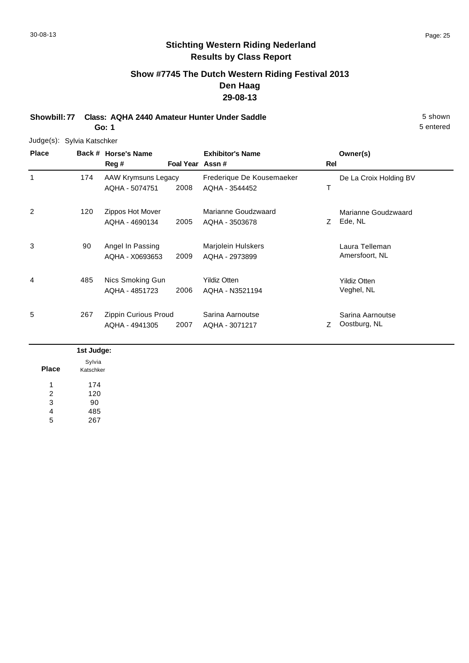# **Show #7745 The Dutch Western Riding Festival 2013 Den Haag 29-08-13**

**Showbill: 77 Class: AQHA 2440 Amateur Hunter Under Saddle** 5 shown **Go: 1**

#### Judge(s): Sylvia Katschker

| <b>Place</b> |     | Back # Horse's Name  |                 | <b>Exhibitor's Name</b>   |     | Owner(s)               |
|--------------|-----|----------------------|-----------------|---------------------------|-----|------------------------|
|              |     | Reg #                | Foal Year Assn# |                           | Rel |                        |
| 1            | 174 | AAW Krymsuns Legacy  |                 | Frederique De Kousemaeker |     | De La Croix Holding BV |
|              |     | AQHA - 5074751       | 2008            | AQHA - 3544452            |     |                        |
| 2            | 120 | Zippos Hot Mover     |                 | Marianne Goudzwaard       |     | Marianne Goudzwaard    |
|              |     | AQHA - 4690134       | 2005            | AQHA - 3503678            | Ζ   | Ede, NL                |
| 3            | 90  | Angel In Passing     |                 | <b>Marjolein Hulskers</b> |     | Laura Telleman         |
|              |     | AQHA - X0693653      | 2009            | AQHA - 2973899            |     | Amersfoort, NL         |
| 4            | 485 | Nics Smoking Gun     |                 | <b>Yildiz Otten</b>       |     | <b>Yildiz Otten</b>    |
|              |     | AQHA - 4851723       | 2006            | AQHA - N3521194           |     | Veghel, NL             |
| 5            | 267 | Zippin Curious Proud |                 | Sarina Aarnoutse          |     | Sarina Aarnoutse       |
|              |     | AQHA - 4941305       | 2007            | AQHA - 3071217            | Ζ   | Oostburg, NL           |

|              | 1st Judge:          |
|--------------|---------------------|
| <b>Place</b> | Sylvia<br>Katschker |
| 1            | 174                 |
| 2            | 120                 |
| 3            | 90                  |
| 4            | 485                 |
| 5            | 267                 |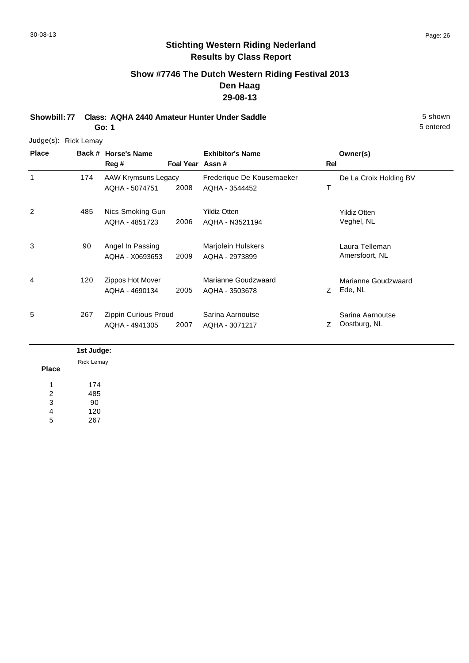# **Show #7746 The Dutch Western Riding Festival 2013 Den Haag 29-08-13**

**Showbill: 77 Class: AQHA 2440 Amateur Hunter Under Saddle** 5 shown **Go: 1**

Judge(s): Rick Lemay

| <b>Place</b> |     | Back # Horse's Name<br>Reg #           | Foal Year Assn# | <b>Exhibitor's Name</b>                     | Rel | Owner(s)                          |
|--------------|-----|----------------------------------------|-----------------|---------------------------------------------|-----|-----------------------------------|
| 1            | 174 | AAW Krymsuns Legacy<br>AQHA - 5074751  | 2008            | Frederique De Kousemaeker<br>AQHA - 3544452 | Т   | De La Croix Holding BV            |
| 2            | 485 | Nics Smoking Gun<br>AQHA - 4851723     | 2006            | <b>Yildiz Otten</b><br>AQHA - N3521194      |     | <b>Yildiz Otten</b><br>Veghel, NL |
| 3            | 90  | Angel In Passing<br>AQHA - X0693653    | 2009            | Marjolein Hulskers<br>AQHA - 2973899        |     | Laura Telleman<br>Amersfoort, NL  |
| 4            | 120 | Zippos Hot Mover<br>AQHA - 4690134     | 2005            | Marianne Goudzwaard<br>AQHA - 3503678       | Z.  | Marianne Goudzwaard<br>Ede, NL    |
| 5            | 267 | Zippin Curious Proud<br>AQHA - 4941305 | 2007            | Sarina Aarnoutse<br>AQHA - 3071217          | Z   | Sarina Aarnoutse<br>Oostburg, NL  |

|              | 1st Judge: |
|--------------|------------|
|              | Rick Lemay |
| <b>Place</b> |            |
| л            | 174        |
| 2            | 485        |
| 3            | 90         |
| 4            | 120        |
| 5            | 267        |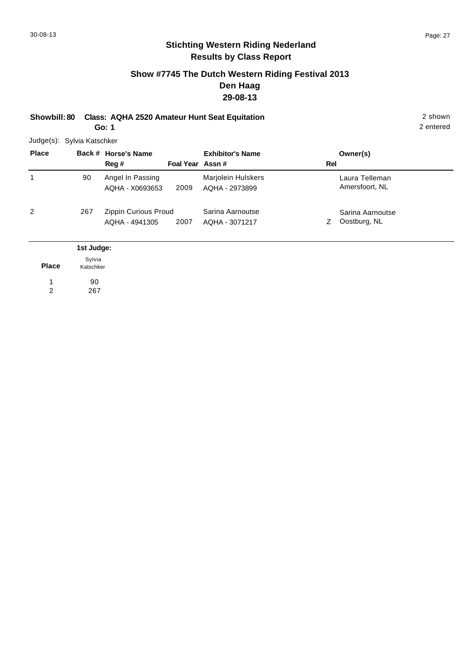## **Show #7745 The Dutch Western Riding Festival 2013 Den Haag 29-08-13**

**Showbill: 80 Class: AQHA 2520 Amateur Hunt Seat Equitation** 2 shown **Go: 1**

Judge(s): Sylvia Katschker

| <b>Place</b> |                      | Back # Horse's Name<br>Reg #           | Foal Year Assn# | <b>Exhibitor's Name</b>              | Rel | Owner(s)                         |
|--------------|----------------------|----------------------------------------|-----------------|--------------------------------------|-----|----------------------------------|
|              | 90                   | Angel In Passing<br>AQHA - X0693653    | 2009            | Marjolein Hulskers<br>AQHA - 2973899 |     | Laura Telleman<br>Amersfoort, NL |
| 2            | 267                  | Zippin Curious Proud<br>AQHA - 4941305 | 2007            | Sarina Aarnoutse<br>AQHA - 3071217   | Z.  | Sarina Aarnoutse<br>Oostburg, NL |
|              | 1st Judge:<br>Sylvia |                                        |                 |                                      |     |                                  |

**Place** 90 1 Katschker

267 2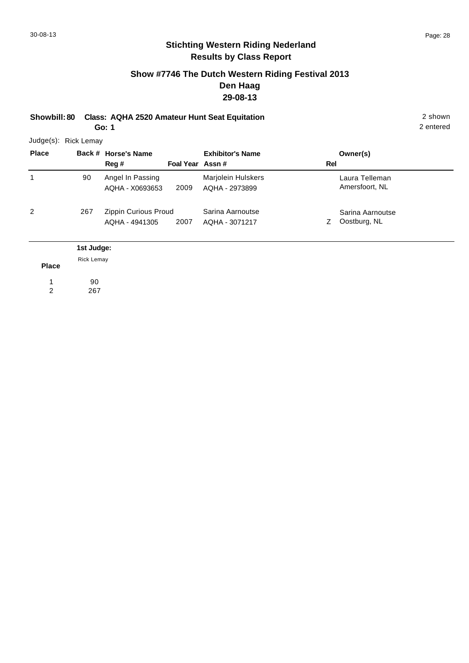2 entered

# **Stichting Western Riding Nederland Results by Class Report**

## **Show #7746 The Dutch Western Riding Festival 2013 Den Haag 29-08-13**

**Showbill: 80 Class: AQHA 2520 Amateur Hunt Seat Equitation** 2 shown **Go: 1**

Judge(s): Rick Lemay

| <b>Place</b> |                 | Back # Horse's Name<br>Reg #           | Foal Year Assn# | <b>Exhibitor's Name</b>              | Rel | Owner(s)                         |  |
|--------------|-----------------|----------------------------------------|-----------------|--------------------------------------|-----|----------------------------------|--|
| 1            | 90              | Angel In Passing<br>AQHA - X0693653    | 2009            | Marjolein Hulskers<br>AQHA - 2973899 |     | Laura Telleman<br>Amersfoort, NL |  |
| 2            | 267             | Zippin Curious Proud<br>AQHA - 4941305 | 2007            | Sarina Aarnoutse<br>AQHA - 3071217   | 7   | Sarina Aarnoutse<br>Oostburg, NL |  |
|              | 1st Judge:<br>_ |                                        |                 |                                      |     |                                  |  |

**Place** 90 267 1 2 Rick Lemay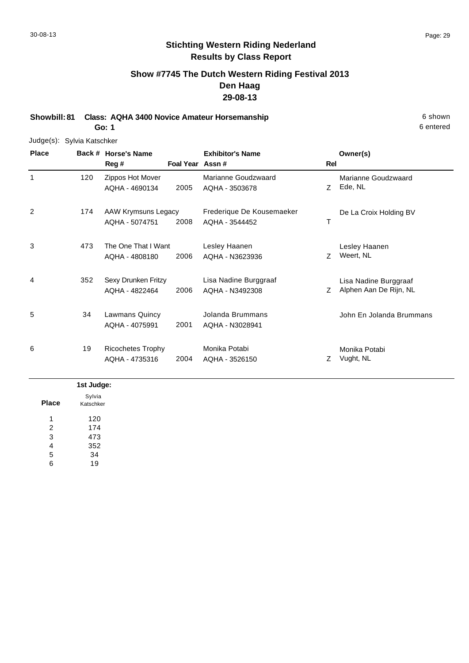# **Show #7745 The Dutch Western Riding Festival 2013 Den Haag 29-08-13**

**Showbill: 81 Class: AQHA 3400 Novice Amateur Horsemanship** 6 Shown 6 shown **Go: 1**

Judge(s): Sylvia Katschker

| <b>Place</b> | Back # | <b>Horse's Name</b><br>Reg #               | Foal Year Assn# | <b>Exhibitor's Name</b>                     | Rel | Owner(s)                                        |
|--------------|--------|--------------------------------------------|-----------------|---------------------------------------------|-----|-------------------------------------------------|
| 1            | 120    | Zippos Hot Mover<br>AQHA - 4690134         | 2005            | Marianne Goudzwaard<br>AQHA - 3503678       | Z   | Marianne Goudzwaard<br>Ede, NL                  |
| 2            | 174    | AAW Krymsuns Legacy<br>AQHA - 5074751      | 2008            | Frederique De Kousemaeker<br>AQHA - 3544452 | Τ   | De La Croix Holding BV                          |
| 3            | 473    | The One That I Want<br>AQHA - 4808180      | 2006            | Lesley Haanen<br>AQHA - N3623936            | Z   | Lesley Haanen<br>Weert, NL                      |
| 4            | 352    | Sexy Drunken Fritzy<br>AQHA - 4822464      | 2006            | Lisa Nadine Burggraaf<br>AQHA - N3492308    | Z   | Lisa Nadine Burggraaf<br>Alphen Aan De Rijn, NL |
| 5            | 34     | Lawmans Quincy<br>AQHA - 4075991           | 2001            | Jolanda Brummans<br>AQHA - N3028941         |     | John En Jolanda Brummans                        |
| 6            | 19     | <b>Ricochetes Trophy</b><br>AQHA - 4735316 | 2004            | Monika Potabi<br>AQHA - 3526150             | Ζ   | Monika Potabi<br>Vught, NL                      |

|       | 1st Judge:          |  |
|-------|---------------------|--|
| Place | Sylvia<br>Katschker |  |
| 1     | 120                 |  |
| 2     | 174                 |  |
| 3     | 473                 |  |
| 4     | 352                 |  |
| 5     | 34                  |  |
| 6     | 19                  |  |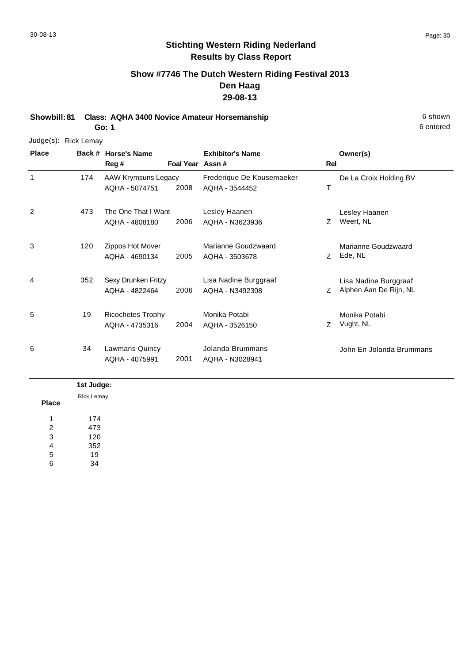# **Show #7746 The Dutch Western Riding Festival 2013 Den Haag 29-08-13**

**Showbill: 81 Class: AQHA 3400 Novice Amateur Horsemanship** 6 Shown 6 shown

**Go: 1**

#### Judge(s): Rick Lemay

| <b>Place</b> | Back # | <b>Horse's Name</b>      |                 | <b>Exhibitor's Name</b>   |     | Owner(s)                 |
|--------------|--------|--------------------------|-----------------|---------------------------|-----|--------------------------|
|              |        | Reg#                     | Foal Year Assn# |                           | Rel |                          |
| 1            | 174    | AAW Krymsuns Legacy      |                 | Frederique De Kousemaeker |     | De La Croix Holding BV   |
|              |        | AQHA - 5074751           | 2008            | AQHA - 3544452            | т   |                          |
| 2            | 473    | The One That I Want      |                 | Lesley Haanen             |     | Lesley Haanen            |
|              |        | AQHA - 4808180           | 2006            | AQHA - N3623936           | Z   | Weert, NL                |
| 3            | 120    | Zippos Hot Mover         |                 | Marianne Goudzwaard       |     | Marianne Goudzwaard      |
|              |        | AQHA - 4690134           | 2005            | AQHA - 3503678            | Ζ   | Ede, NL                  |
| 4            | 352    | Sexy Drunken Fritzy      |                 | Lisa Nadine Burggraaf     |     | Lisa Nadine Burggraaf    |
|              |        | AQHA - 4822464           | 2006            | AQHA - N3492308           | Z   | Alphen Aan De Rijn, NL   |
| 5            | 19     | <b>Ricochetes Trophy</b> |                 | Monika Potabi             |     | Monika Potabi            |
|              |        | AQHA - 4735316           | 2004            | AQHA - 3526150            | Ζ   | Vught, NL                |
| 6            | 34     | <b>Lawmans Quincy</b>    |                 | Jolanda Brummans          |     | John En Jolanda Brummans |
|              |        | AQHA - 4075991           | 2001            | AQHA - N3028941           |     |                          |

#### **Place 1st Judge:**  174 473 120 352 19 34 1 2 3 4 5 6 Rick Lemay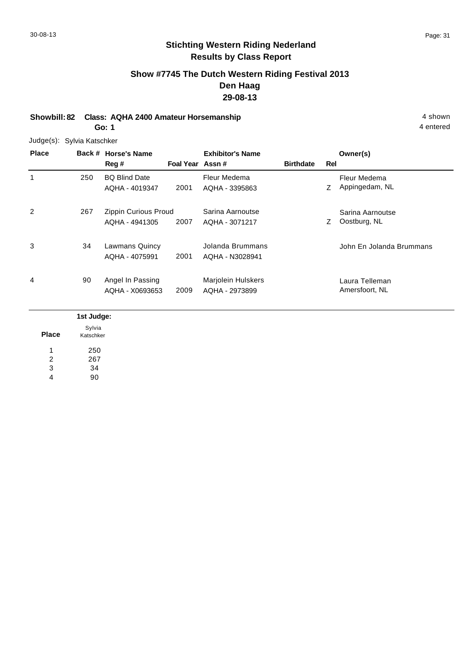# **Show #7745 The Dutch Western Riding Festival 2013 Den Haag 29-08-13**

**Showbill: 82 Class: AQHA 2400 Amateur Horsemanship** 4 shown **Go: 1**

Judge(s): Sylvia Katschker

| <b>Place</b>   |     | Back # Horse's Name<br>Reg #           | Foal Year Assn# | <b>Exhibitor's Name</b>                     | <b>Birthdate</b> | Rel | Owner(s)                         |
|----------------|-----|----------------------------------------|-----------------|---------------------------------------------|------------------|-----|----------------------------------|
| 1              | 250 | <b>BQ Blind Date</b><br>AQHA - 4019347 | 2001            | Fleur Medema<br>AQHA - 3395863              |                  | Ζ   | Fleur Medema<br>Appingedam, NL   |
| $\overline{2}$ | 267 | Zippin Curious Proud<br>AQHA - 4941305 | 2007            | Sarina Aarnoutse<br>AQHA - 3071217          |                  | Ζ   | Sarina Aarnoutse<br>Oostburg, NL |
| 3              | 34  | Lawmans Quincy<br>AQHA - 4075991       | 2001            | Jolanda Brummans<br>AQHA - N3028941         |                  |     | John En Jolanda Brummans         |
| 4              | 90  | Angel In Passing<br>AQHA - X0693653    | 2009            | <b>Marjolein Hulskers</b><br>AQHA - 2973899 |                  |     | Laura Telleman<br>Amersfoort, NL |

|                | 1st Judge:          |
|----------------|---------------------|
| <b>Place</b>   | Sylvia<br>Katschker |
|                | 250                 |
| $\overline{2}$ | 267                 |
| 3              | 34                  |
| 4              | 90                  |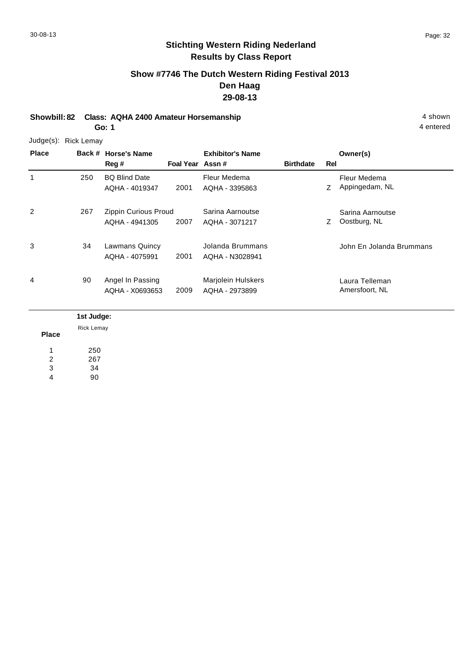# **Show #7746 The Dutch Western Riding Festival 2013 Den Haag 29-08-13**

**Showbill: 82 Class: AQHA 2400 Amateur Horsemanship** 4 shown **Go: 1**

Judge(s): Rick Lemay

| <b>Place</b> |            | Back # Horse's Name<br>Reg #           | Foal Year Assn# | <b>Exhibitor's Name</b>              | <b>Birthdate</b> | Rel | Owner(s)                         |
|--------------|------------|----------------------------------------|-----------------|--------------------------------------|------------------|-----|----------------------------------|
| 1            | 250        | <b>BQ Blind Date</b><br>AQHA - 4019347 | 2001            | Fleur Medema<br>AQHA - 3395863       |                  | Ζ   | Fleur Medema<br>Appingedam, NL   |
| 2            | 267        | Zippin Curious Proud<br>AQHA - 4941305 | 2007            | Sarina Aarnoutse<br>AQHA - 3071217   |                  | Z   | Sarina Aarnoutse<br>Oostburg, NL |
| 3            | 34         | Lawmans Quincy<br>AQHA - 4075991       | 2001            | Jolanda Brummans<br>AQHA - N3028941  |                  |     | John En Jolanda Brummans         |
| 4            | 90         | Angel In Passing<br>AQHA - X0693653    | 2009            | Marjolein Hulskers<br>AQHA - 2973899 |                  |     | Laura Telleman<br>Amersfoort, NL |
|              | 1st Judge: |                                        |                 |                                      |                  |     |                                  |

Rick Lemay

**Place**

250 267 34 90 1 2 3 4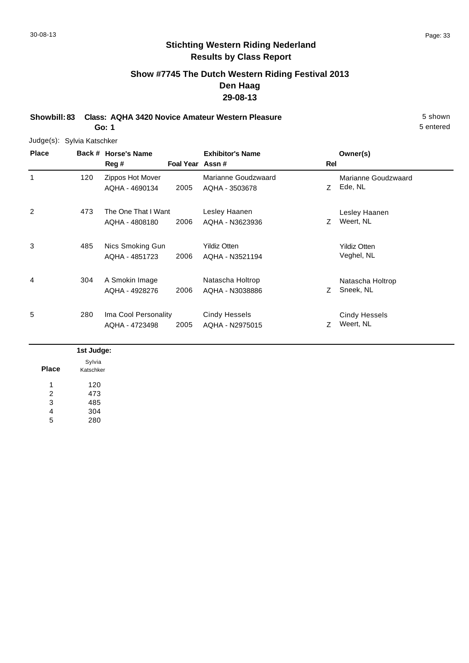# **Show #7745 The Dutch Western Riding Festival 2013 Den Haag 29-08-13**

**Showbill: 83 Class: AQHA 3420 Novice Amateur Western Pleasure** 5 shown **Go: 1**

Judge(s): Sylvia Katschker

| <b>Place</b> | Back # | <b>Horse's Name</b><br>Reg #           | Foal Year Assn# | <b>Exhibitor's Name</b>                 | Rel | Owner(s)                          |
|--------------|--------|----------------------------------------|-----------------|-----------------------------------------|-----|-----------------------------------|
| 1            | 120    | Zippos Hot Mover<br>AQHA - 4690134     | 2005            | Marianne Goudzwaard<br>AQHA - 3503678   | Z.  | Marianne Goudzwaard<br>Ede, NL    |
| 2            | 473    | The One That I Want<br>AQHA - 4808180  | 2006            | Lesley Haanen<br>AQHA - N3623936        | Z   | Lesley Haanen<br>Weert, NL        |
| 3            | 485    | Nics Smoking Gun<br>AQHA - 4851723     | 2006            | <b>Yildiz Otten</b><br>AQHA - N3521194  |     | <b>Yildiz Otten</b><br>Veghel, NL |
| 4            | 304    | A Smokin Image<br>AQHA - 4928276       | 2006            | Natascha Holtrop<br>AQHA - N3038886     | Z   | Natascha Holtrop<br>Sneek, NL     |
| 5            | 280    | Ima Cool Personality<br>AQHA - 4723498 | 2005            | <b>Cindy Hessels</b><br>AQHA - N2975015 |     | <b>Cindy Hessels</b><br>Weert, NL |

|              | 1st Judge:          |
|--------------|---------------------|
| <b>Place</b> | Sylvia<br>Katschker |
| 1            | 120                 |
| 2            | 473                 |
| 3            | 485                 |
| 4            | 304                 |
| 5            | 280                 |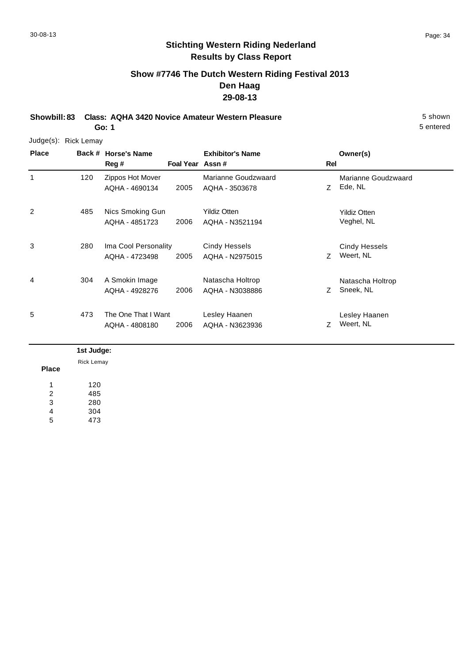5 entered

# **Stichting Western Riding Nederland Results by Class Report**

# **Show #7746 The Dutch Western Riding Festival 2013 Den Haag 29-08-13**

**Showbill: 83 Class: AQHA 3420 Novice Amateur Western Pleasure** 5 shown **Go: 1**

Judge(s): Rick Lemay

| <b>Place</b> | Back # | <b>Horse's Name</b><br>Reg #           | Foal Year Assn# | <b>Exhibitor's Name</b>                | Rel | Owner(s)                          |
|--------------|--------|----------------------------------------|-----------------|----------------------------------------|-----|-----------------------------------|
| 1            | 120    | Zippos Hot Mover<br>AQHA - 4690134     | 2005            | Marianne Goudzwaard<br>AQHA - 3503678  | Z   | Marianne Goudzwaard<br>Ede, NL    |
| 2            | 485    | Nics Smoking Gun<br>AQHA - 4851723     | 2006            | <b>Yildiz Otten</b><br>AQHA - N3521194 |     | <b>Yildiz Otten</b><br>Veghel, NL |
| 3            | 280    | Ima Cool Personality<br>AQHA - 4723498 | 2005            | Cindy Hessels<br>AQHA - N2975015       | Z.  | <b>Cindy Hessels</b><br>Weert, NL |
| 4            | 304    | A Smokin Image<br>AQHA - 4928276       | 2006            | Natascha Holtrop<br>AQHA - N3038886    | Z   | Natascha Holtrop<br>Sneek, NL     |
| 5            | 473    | The One That I Want<br>AQHA - 4808180  | 2006            | Lesley Haanen<br>AQHA - N3623936       | 7   | Lesley Haanen<br>Weert, NL        |

|              | 1st Judge: |
|--------------|------------|
|              | Rick Lemay |
| <b>Place</b> |            |
| 1            | 120        |
| 2            | 485        |
| 3            | 280        |
| 4            | 304        |
| 5            | 473        |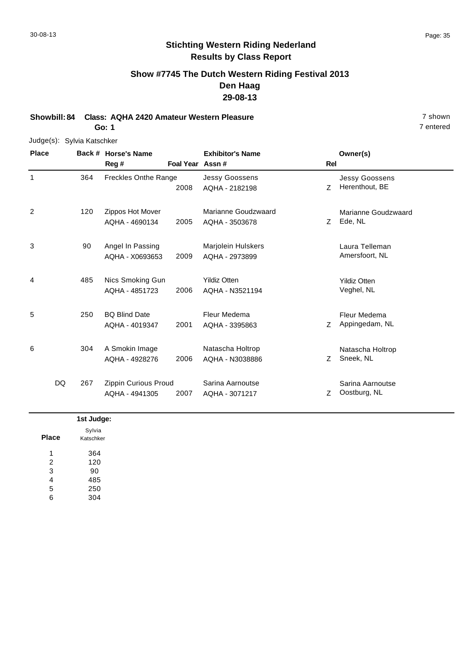# **Show #7745 The Dutch Western Riding Festival 2013 Den Haag 29-08-13**

**Showbill: 84 Class: AQHA 2420 Amateur Western Pleasure** 7 shown **Go: 1**

#### Judge(s): Sylvia Katschker

**Back # Horse's Name Place Owner(s) Reg # Assn # Foal Year Rel Exhibitor's Name** 1 2008 AQHA - 2182198 2 Z Herenthout, BE Jessy Goossens Freckles Onthe Range Jessy Goossens AQHA - 2182198 364 2 7 Ede, NL Marianne Goudzwaard 2005 Ede, NL AQHA - 3503678 Zippos Hot Mover AQHA - 4690134 Marianne Goudzwaard 120 3 Laura Telleman Marjolein Hulskers 2009 Amersfoort, NL AQHA - 2973899 Angel In Passing AQHA - X0693653 90 4 1995 Alics Smoking Gun Mildiz Otten Nildiz Otten Stildiz Otten Stildiz Otten Nildiz Otten Stildiz Otten Nildiz Otten Stildiz Otten Stildiz Otten Stildiz Otten Stildiz Otten Stildiz Otten Stildiz Otten Stildiz Otten Stild 2006 Veghel, NL AQHA - N3521194 AQHA - 4851723 Yildiz Otten 485 5 2001 AQHA - 3395863 Z Appingedam, NL Fleur Medema BQ Blind Date AQHA - 4019347 Fleur Medema AQHA - 3395863 250 6 Z Sneek, NL Natascha Holtrop 2006 Sneek, NL AQHA - N3038886 A Smokin Image AQHA - 4928276 Natascha Holtrop 304 2007 AQHA - 3071217 Z Oostburg, NL Sarina Aarnoutse Zippin Curious Proud AQHA - 4941305 Sarina Aarnoutse AQHA - 3071217 DQ 267

|              | 1st Judge:          |
|--------------|---------------------|
| <b>Place</b> | Sylvia<br>Katschker |
| и            | 364                 |
| 2            | 120                 |
| 3            | 90                  |
| 4            | 485                 |
| 5            | 250                 |
| 6            | 304                 |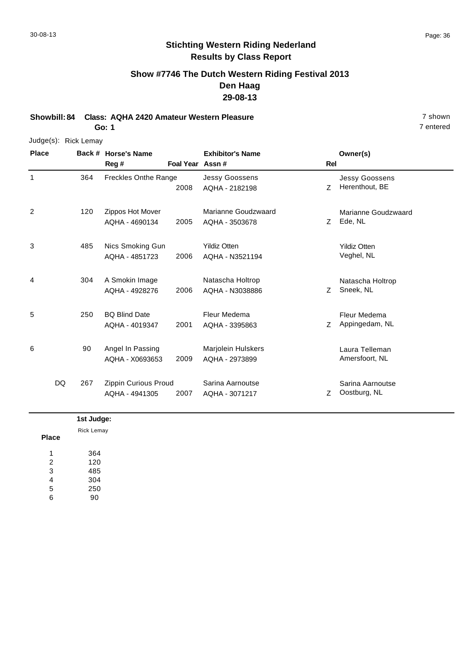# **Show #7746 The Dutch Western Riding Festival 2013 Den Haag 29-08-13**

**Showbill: 84 Class: AQHA 2420 Amateur Western Pleasure** 7 shown **Go: 1**

#### Judge(s): Rick Lemay

**Back # Horse's Name Place Owner(s) Reg # Assn # Foal Year Rel Exhibitor's Name** 1 2008 AQHA - 2182198 2 Z Herenthout, BE Jessy Goossens Freckles Onthe Range Jessy Goossens AQHA - 2182198 364 2 7 Ede, NL Marianne Goudzwaard 2005 Ede, NL AQHA - 3503678 Zippos Hot Mover AQHA - 4690134 Marianne Goudzwaard 120 3 5 Alics Smoking Gun Mildiz Otten Chronic Chronic Mildiz Otten Nildiz Otten 2006 Veghel, NL AQHA - N3521194 AQHA - 4851723 Yildiz Otten 485 4 Z Sneek, NL Natascha Holtrop 2006 Sneek, NL AQHA - N3038886 A Smokin Image AQHA - 4928276 Natascha Holtrop 304 5 2001 AQHA - 3395863 Z Appingedam, NL Fleur Medema BQ Blind Date AQHA - 4019347 Fleur Medema AQHA - 3395863 250 6 Laura Telleman Marjolein Hulskers 2009 Amersfoort, NL AQHA - 2973899 Angel In Passing AQHA - X0693653 90 2007 AQHA - 3071217 Z Oostburg, NL Sarina Aarnoutse Zippin Curious Proud AQHA - 4941305 Sarina Aarnoutse AQHA - 3071217 DQ 267

|                | 1st Judge:        |
|----------------|-------------------|
| <b>Place</b>   | <b>Rick Lemay</b> |
| и              | 364               |
| $\overline{2}$ | 120               |
| 3              | 485               |
| 4              | 304               |
| 5              | 250               |
| 6              | 90                |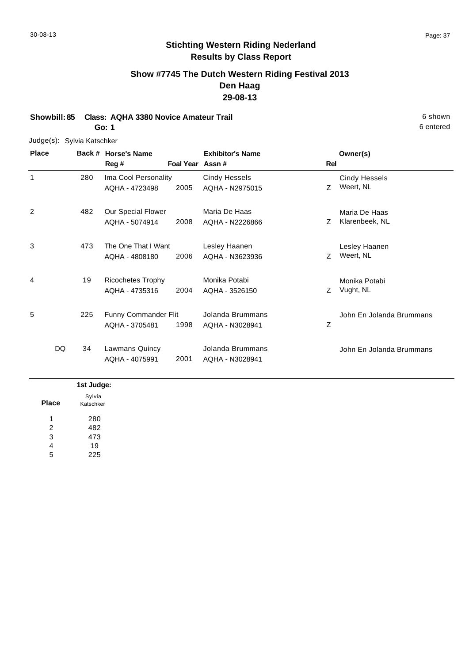$\overline{\phantom{a}}$ 

# **Stichting Western Riding Nederland Results by Class Report**

# **Show #7745 The Dutch Western Riding Festival 2013 Den Haag 29-08-13**

**Showbill: 85 Class: AQHA 3380 Novice Amateur Trail 6 Shown 6 Shown 6 shown Go: 1**

Judge(s): Sylvia Katschker

| <b>Place</b> |          | Back # Horse's Name<br>Reg #               |      | <b>Exhibitor's Name</b><br>Foal Year Assn# | Rel | Owner(s)                          |
|--------------|----------|--------------------------------------------|------|--------------------------------------------|-----|-----------------------------------|
| 1            | 280      | Ima Cool Personality<br>AQHA - 4723498     | 2005 | <b>Cindy Hessels</b><br>AQHA - N2975015    | Z.  | <b>Cindy Hessels</b><br>Weert, NL |
| 2            | 482      | Our Special Flower<br>AQHA - 5074914       | 2008 | Maria De Haas<br>AQHA - N2226866           | Z.  | Maria De Haas<br>Klarenbeek, NL   |
| 3            | 473      | The One That I Want<br>AQHA - 4808180      | 2006 | Lesley Haanen<br>AQHA - N3623936           | Z   | Lesley Haanen<br>Weert, NL        |
| 4            | 19       | <b>Ricochetes Trophy</b><br>AQHA - 4735316 | 2004 | Monika Potabi<br>AQHA - 3526150            | Z   | Monika Potabi<br>Vught, NL        |
| 5            | 225      | Funny Commander Flit<br>AQHA - 3705481     | 1998 | Jolanda Brummans<br>AQHA - N3028941        | Z   | John En Jolanda Brummans          |
|              | DQ<br>34 | Lawmans Quincy<br>AQHA - 4075991           | 2001 | Jolanda Brummans<br>AQHA - N3028941        |     | John En Jolanda Brummans          |

|              | 1st Judge:          |
|--------------|---------------------|
| <b>Place</b> | Sylvia<br>Katschker |
| л            | 280                 |
| 2            | 482                 |
| 3            | 473                 |
| 4            | 19                  |
| 5            | 225                 |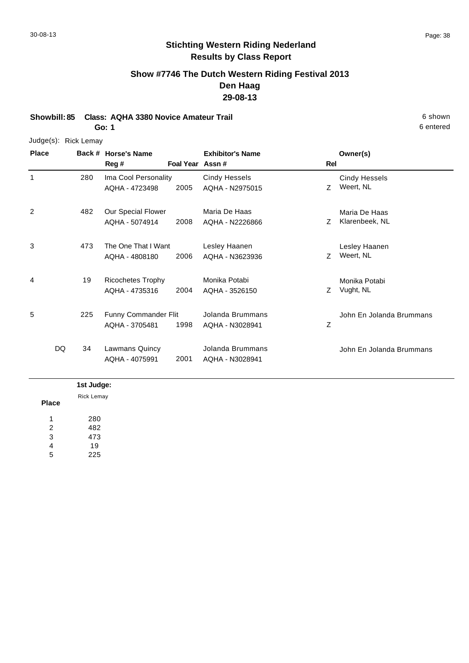# **Show #7746 The Dutch Western Riding Festival 2013 Den Haag 29-08-13**

**Showbill: 85 Class: AQHA 3380 Novice Amateur Trail** 6 shown **Go: 1**

#### Judge(s): Rick Lemay

**Back # Horse's Name Place Owner(s) Reg # Assn # Foal Year Rel Exhibitor's Name** 1 Z Weert, NL Cindy Hessels 2005 Weert, NL AQHA - N2975015 Ima Cool Personality AQHA - 4723498 Cindy Hessels 280 2 7 Klarenbeek, NL Maria De Haas 2008 Klarenbeek, NL AQHA - N2226866 Our Special Flower AQHA - 5074914 Maria De Haas 482 3 Z Weert, NL Lesley Haanen 2006 Weert, NL AQHA - N3623936 The One That I Want AQHA - 4808180 Lesley Haanen 473 4 Z Vught, NL Monika Potabi 2004 AQHA - 3526150 Z Vught, NL Ricochetes Trophy AQHA - 4735316 Monika Potabi 19 5 Z John En Jolanda Brummans 1998 Funny Commander Flit AQHA - 3705481 Jolanda Brummans AQHA - N3028941 225 John En Jolanda Brummans 2001 Lawmans Quincy AQHA - 4075991 Jolanda Brummans AQHA - N3028941 DQ 34

#### **Place 1st Judge:**  280 482 473 19 225 1 2 3 4 5 Rick Lemay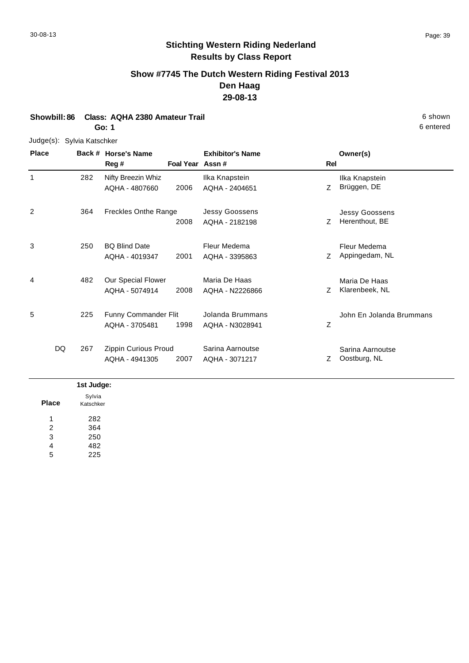## **Show #7745 The Dutch Western Riding Festival 2013 Den Haag 29-08-13**

# **Showbill: 86 Class: AQHA 2380 Amateur Trail** 6 shown

**Go: 1**

#### Judge(s): Sylvia Katschker

**Back # Horse's Name Place Owner(s) Reg # Assn # Foal Year Rel Exhibitor's Name** 1 Z Ilka Knapstein 2006 Brüggen, DE AQHA - 2404651 Nifty Breezin Whiz AQHA - 4807660 Ilka Knapstein 282 2 Z Herenthout, BE Jessy Goossens 2008 Herenthout, BE AQHA - 2182198 Freckles Onthe Range Jessy Goossens 364 3 2001 AQHA - 3395863 Z Appingedam, NL Fleur Medema BQ Blind Date AQHA - 4019347 Fleur Medema AQHA - 3395863 250 4 7 Klarenbeek, NL Maria De Haas 2008 Klarenbeek, NL AQHA - N2226866 Our Special Flower AQHA - 5074914 Maria De Haas 482 5 Z John En Jolanda Brummans 1998 Funny Commander Flit AQHA - 3705481 Jolanda Brummans AQHA - N3028941 225 Z Oostburg, NL Sarina Aarnoutse 2007 AQHA - 3071217 Z Oostburg, NL Zippin Curious Proud AQHA - 4941305 Sarina Aarnoutse DQ 267

#### **Place 1st Judge:**  282 364 250 482 225 1 2 3 4 5 Sylvia Katschker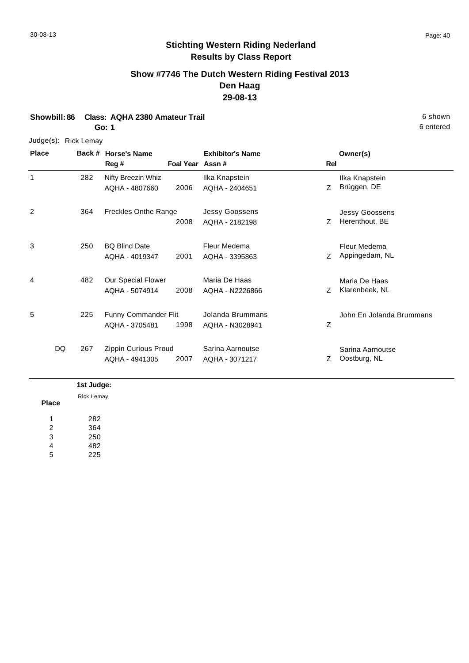6 entered

### **Stichting Western Riding Nederland Results by Class Report**

### **Show #7746 The Dutch Western Riding Festival 2013 Den Haag 29-08-13**

#### **Showbill: 86 Class: AQHA 2380 Amateur Trail** 6 shown

**Go: 1**

#### Judge(s): Rick Lemay

**Back # Horse's Name Place Owner(s) Reg # Assn # Foal Year Rel Exhibitor's Name** 1 Z Ilka Knapstein 2006 Brüggen, DE AQHA - 2404651 Nifty Breezin Whiz AQHA - 4807660 Ilka Knapstein 282 2 Z Herenthout, BE Jessy Goossens 2008 Herenthout, BE AQHA - 2182198 Freckles Onthe Range Jessy Goossens 364 3 2001 AQHA - 3395863 Z Appingedam, NL Fleur Medema BQ Blind Date AQHA - 4019347 Fleur Medema AQHA - 3395863 250 4 7 Klarenbeek, NL Maria De Haas 2008 Klarenbeek, NL AQHA - N2226866 Our Special Flower AQHA - 5074914 Maria De Haas 482 5 Z John En Jolanda Brummans 1998 Funny Commander Flit AQHA - 3705481 Jolanda Brummans AQHA - N3028941 225 Z Oostburg, NL Sarina Aarnoutse 2007 AQHA - 3071217 Z Oostburg, NL Zippin Curious Proud AQHA - 4941305 Sarina Aarnoutse DQ 267

#### **Place 1st Judge:**  282 364 250 1 2 3 Rick Lemay

4 5 482 225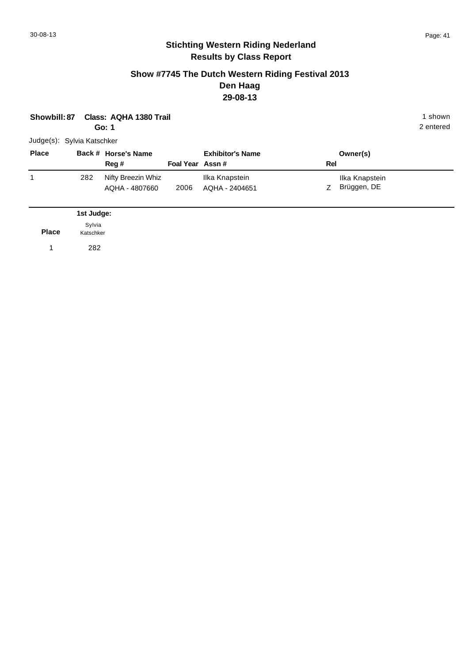#### **Show #7745 The Dutch Western Riding Festival 2013 Den Haag 29-08-13**

| Showbill: 87               |                     | Class: AQHA 1380 Trail<br>Go: 1      |                 |                                  |     |                               | 1 shown<br>2 entered |
|----------------------------|---------------------|--------------------------------------|-----------------|----------------------------------|-----|-------------------------------|----------------------|
| Judge(s): Sylvia Katschker |                     |                                      |                 |                                  |     |                               |                      |
| <b>Place</b>               |                     | Back # Horse's Name<br>Reg #         | Foal Year Assn# | <b>Exhibitor's Name</b>          | Rel | Owner(s)                      |                      |
| 1                          | 282                 | Nifty Breezin Whiz<br>AQHA - 4807660 | 2006            | Ilka Knapstein<br>AQHA - 2404651 | Z   | Ilka Knapstein<br>Brüggen, DE |                      |
|                            | 1st Judge:          |                                      |                 |                                  |     |                               |                      |
| <b>Place</b>               | Sylvia<br>Katschker |                                      |                 |                                  |     |                               |                      |
| 1                          | 282                 |                                      |                 |                                  |     |                               |                      |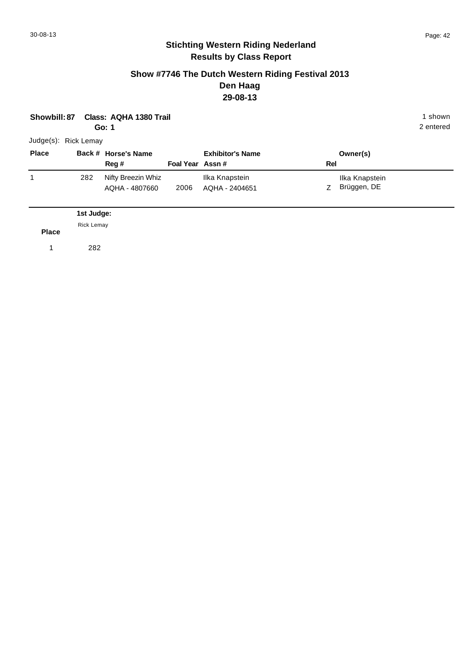#### **Show #7746 The Dutch Western Riding Festival 2013 Den Haag 29-08-13**

| Showbill: 87         |                                 | Class: AQHA 1380 Trail<br>Go: 1      |                  |                                  |     |                               | 1 shown<br>2 entered |
|----------------------|---------------------------------|--------------------------------------|------------------|----------------------------------|-----|-------------------------------|----------------------|
| Judge(s): Rick Lemay |                                 |                                      |                  |                                  |     |                               |                      |
| <b>Place</b>         |                                 | Back # Horse's Name<br>Reg #         | Foal Year Assn # | <b>Exhibitor's Name</b>          | Rel | Owner(s)                      |                      |
| 1                    | 282                             | Nifty Breezin Whiz<br>AQHA - 4807660 | 2006             | Ilka Knapstein<br>AQHA - 2404651 | Z   | Ilka Knapstein<br>Brüggen, DE |                      |
| <b>Place</b>         | 1st Judge:<br><b>Rick Lemay</b> |                                      |                  |                                  |     |                               |                      |
| $\mathbf{1}$         | 282                             |                                      |                  |                                  |     |                               |                      |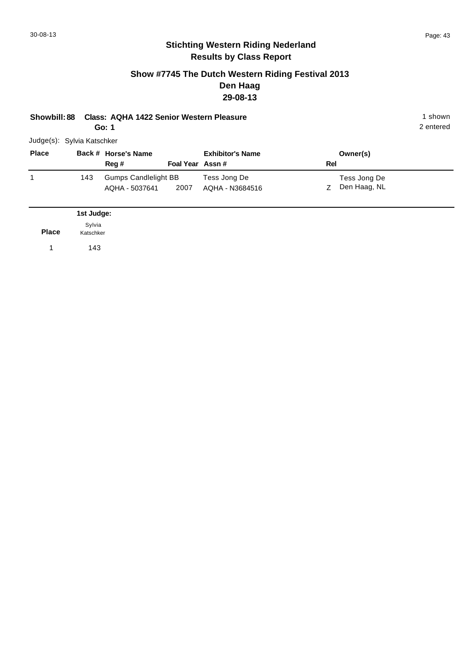#### **Show #7745 The Dutch Western Riding Festival 2013 Den Haag 29-08-13**

| <b>Showbill: 88</b>        |                                   | <b>Class: AQHA 1422 Senior Western Pleasure</b><br>Go: 1 |                 |                                 |     |                              | 1 shown<br>2 entered |
|----------------------------|-----------------------------------|----------------------------------------------------------|-----------------|---------------------------------|-----|------------------------------|----------------------|
| Judge(s): Sylvia Katschker |                                   |                                                          |                 |                                 |     |                              |                      |
| <b>Place</b>               |                                   | Back # Horse's Name<br>Reg#                              | Foal Year Assn# | <b>Exhibitor's Name</b>         | Rel | Owner(s)                     |                      |
| 1                          | 143                               | <b>Gumps Candlelight BB</b><br>AQHA - 5037641            | 2007            | Tess Jong De<br>AQHA - N3684516 | Ζ   | Tess Jong De<br>Den Haag, NL |                      |
| <b>Place</b>               | 1st Judge:<br>Sylvia<br>Katschker |                                                          |                 |                                 |     |                              |                      |

1 143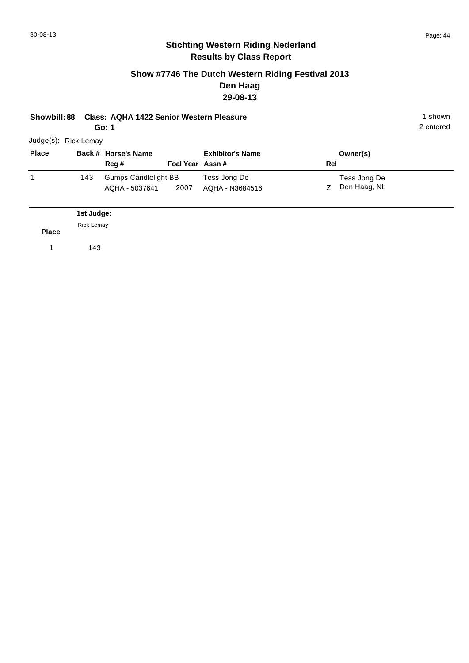#### **Show #7746 The Dutch Western Riding Festival 2013 Den Haag 29-08-13**

| Showbill: 88         |                                 | Class: AQHA 1422 Senior Western Pleasure<br>Go: 1 |                 |                                 |     |                              | 1 shown<br>2 entered |
|----------------------|---------------------------------|---------------------------------------------------|-----------------|---------------------------------|-----|------------------------------|----------------------|
| Judge(s): Rick Lemay |                                 |                                                   |                 |                                 |     |                              |                      |
| <b>Place</b>         |                                 | Back # Horse's Name<br>Reg#                       | Foal Year Assn# | <b>Exhibitor's Name</b>         | Rel | Owner(s)                     |                      |
| 1                    | 143                             | <b>Gumps Candlelight BB</b><br>AQHA - 5037641     | 2007            | Tess Jong De<br>AQHA - N3684516 | Ζ   | Tess Jong De<br>Den Haag, NL |                      |
| <b>Place</b>         | 1st Judge:<br><b>Rick Lemay</b> |                                                   |                 |                                 |     |                              |                      |

1 143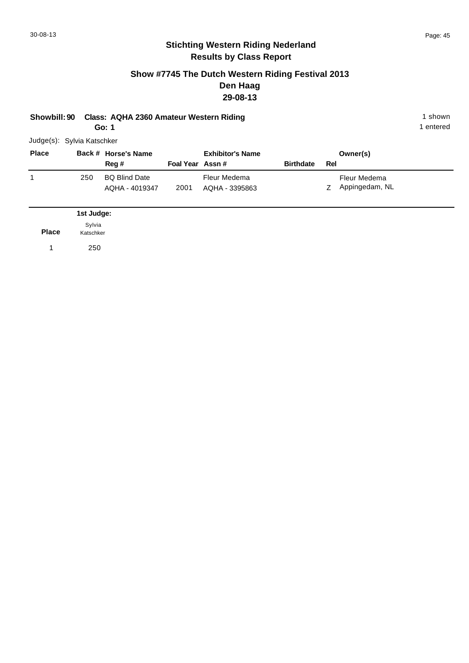#### **Show #7745 The Dutch Western Riding Festival 2013 Den Haag 29-08-13**

| Showbill: 90 Class: AQHA 2360 Amateur Western Riding | 1 shown   |
|------------------------------------------------------|-----------|
| Go: 1                                                | 1 entered |

1 entered

Judge(s): Sylvia Katschker

| <b>Place</b> |     | Back # Horse's Name                    |                 | <b>Exhibitor's Name</b>        |                  |     | Owner(s)                       |
|--------------|-----|----------------------------------------|-----------------|--------------------------------|------------------|-----|--------------------------------|
|              |     | Reg#                                   | Foal Year Assn# |                                | <b>Birthdate</b> | Rel |                                |
|              | 250 | <b>BQ Blind Date</b><br>AQHA - 4019347 | 2001            | Fleur Medema<br>AQHA - 3395863 |                  |     | Fleur Medema<br>Appingedam, NL |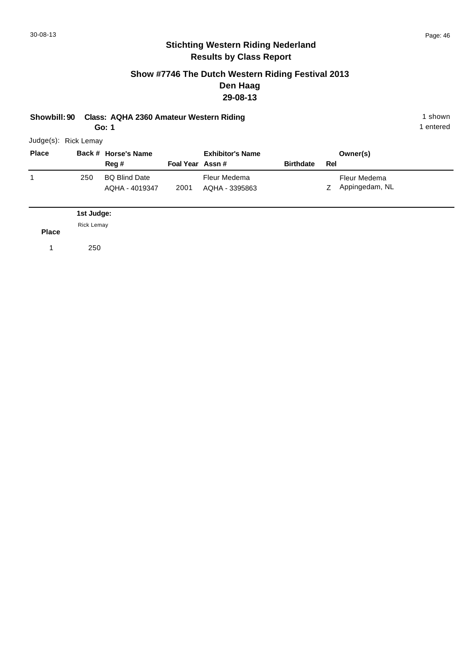#### **Show #7746 The Dutch Western Riding Festival 2013 Den Haag 29-08-13**

| Showbill: 90 Class: AQHA 2360 Amateur Western Riding | 1 shown   |
|------------------------------------------------------|-----------|
| Go: 1                                                | 1 entered |

1 entered

Judge(s): Rick Lemay

| <b>Place</b> |     | Back # Horse's Name                    |                 | <b>Exhibitor's Name</b>        |                  |     | Owner(s)                       |
|--------------|-----|----------------------------------------|-----------------|--------------------------------|------------------|-----|--------------------------------|
|              |     | Reg #                                  | Foal Year Assn# |                                | <b>Birthdate</b> | Rel |                                |
|              | 250 | <b>BQ Blind Date</b><br>AQHA - 4019347 | 2001            | Fleur Medema<br>AQHA - 3395863 |                  | Z   | Fleur Medema<br>Appingedam, NL |

|              | 1st Judge: |
|--------------|------------|
| <b>Place</b> | Rick Lemay |
|              | 250        |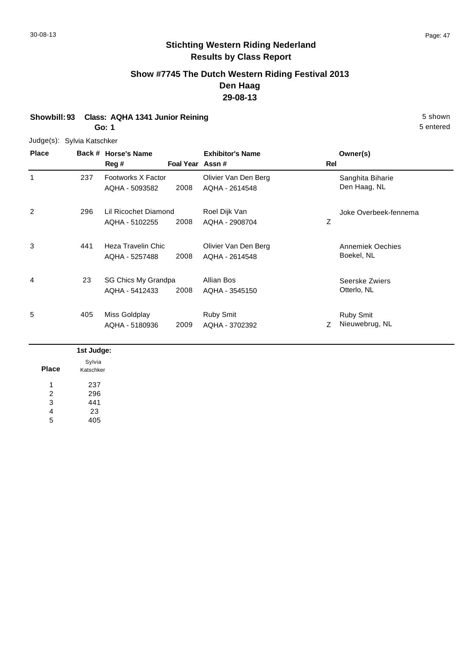#### **Show #7745 The Dutch Western Riding Festival 2013 Den Haag 29-08-13**

#### **Showbill: 93 Class: AQHA 1341 Junior Reining 5 Shown 5 Shown 5 shown 5 Shown Go: 1**

Judge(s): Sylvia Katschker

**Back # Horse's Name Place Owner(s) Reg # Assn # Foal Year Rel Exhibitor's Name** 1 1 Sanghita Biharie 137 Footworks X Factor 1988 Colivier Van Den Berg 1988 Sanghita Biharie 2008 Den Haag, NL AQHA - 2614548 Footworks X Factor AQHA - 5093582 237 2 Z Joke Overbeek-fennema 2008 Lil Ricochet Diamond AQHA - 5102255 Roel Dijk Van AQHA - 2908704 296 3 Annemiek Oechies (1995) Annemiek Oechies (1997) Colivier Van Den Berg North Annemiek Oechies 2008 Boekel, NL AQHA - 2614548 Heza Travelin Chic AQHA - 5257488 441 4 SG Chics My Grandpa Allian Bos Allian Bos Seerske Zwiers 2008 Otterlo, NL AQHA - 3545150 AQHA - 5412433 Allian Bos 23 5 Z 2009 Nieuwebrug, NL Ruby Smit Miss Goldplay AQHA - 5180936 Ruby Smit AQHA - 3702392 405

|              | 1st Judge: |
|--------------|------------|
|              | Sylvia     |
| <b>Place</b> | Katschker  |
|              | 237        |
| 2            | 296        |
| 3            | 441        |
| 4            | 23         |
| 5            | 405        |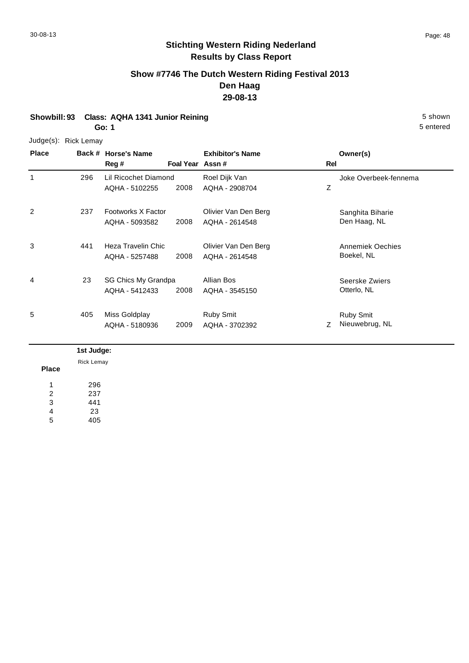### **Show #7746 The Dutch Western Riding Festival 2013 Den Haag 29-08-13**

# **Showbill: 93 Class: AQHA 1341 Junior Reining 5 shown 5 shown 5 shown**

**Go: 1**

#### Judge(s): Rick Lemay

**Back # Horse's Name Place Owner(s) Reg # Assn # Foal Year Rel Exhibitor's Name** 1 Z Joke Overbeek-fennema 2008 Lil Ricochet Diamond AQHA - 5102255 Roel Dijk Van AQHA - 2908704 296 2 1237 Footworks X Factor 19 Colivier Van Den Berg 19 Sanghita Biharie 2008 Den Haag, NL AQHA - 2614548 Footworks X Factor AQHA - 5093582 237 3 Annemiek Oechies (1995) Annemiek Oechies (1997) Colivier Van Den Berg North Annemiek Oechies 2008 Boekel, NL AQHA - 2614548 Heza Travelin Chic AQHA - 5257488 441 4 SG Chics My Grandpa Allian Bos Allian Bos Seerske Zwiers 2008 Otterlo, NL AQHA - 3545150 AQHA - 5412433 Allian Bos 23 5 Z Nieuwebrug, NL Ruby Smit 2009 Nieuwebrug, NL AQHA - 3702392 Miss Goldplay AQHA - 5180936 Ruby Smit 405

| Rick Lemay<br><b>Place</b><br>296<br>237<br>2<br>441<br>3 |   |            |
|-----------------------------------------------------------|---|------------|
|                                                           |   | 1st Judge: |
|                                                           |   |            |
|                                                           |   |            |
|                                                           |   |            |
|                                                           |   |            |
|                                                           |   |            |
|                                                           | 4 | 23         |
| 405<br>5                                                  |   |            |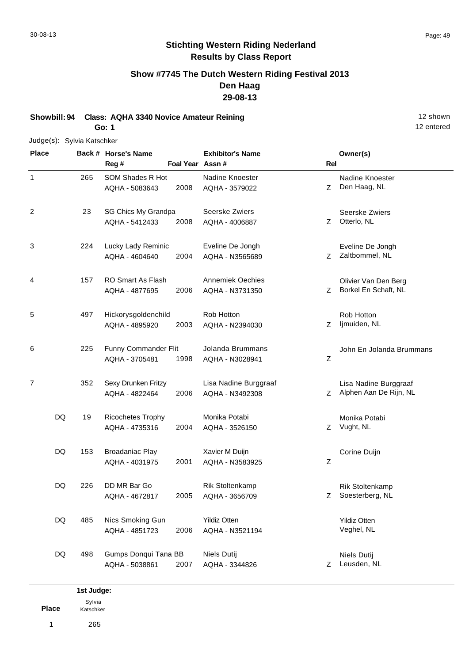## **Show #7745 The Dutch Western Riding Festival 2013 Den Haag 29-08-13**

**Showbill: 94 Class: AQHA 3340 Novice Amateur Reining 12 shown 12 shown 12 shown 12 shown Go: 1**

#### Judge(s): Sylvia Katschker

**Back # Horse's Name Place Owner(s) Reg # Assn # Foal Year Rel Exhibitor's Name** 1 Z Den Haag, NL Nadine Knoester 2008 AQHA - 3579022 Z Den Haag, NL SOM Shades R Hot AQHA - 5083643 Nadine Knoester 265 2 7 Otterlo, NL Seerske Zwiers 2008 AQHA - 4006887 Z Otterlo, NL SG Chics My Grandpa AQHA - 5412433 Seerske Zwiers 23 3 Z Zaltbommel, NL Eveline De Jongh 2004 Zaltbommel, NL AQHA - N3565689 Lucky Lady Reminic AQHA - 4604640 Eveline De Jongh 224 4 2006 AQHA - N3731350 Z Borkel En Schaft, NL Olivier Van Den Berg RO Smart As Flash AQHA - 4877695 Annemiek Oechies AQHA - N3731350 157 5 Z ljmuiden, NL Rob Hotton 2003 Ijmuiden, NL AQHA - N2394030 Hickorysgoldenchild AQHA - 4895920 Rob Hotton 497 6 Z John En Jolanda Brummans 1998 Funny Commander Flit AQHA - 3705481 Jolanda Brummans AQHA - N3028941 225 7 2006 AQHA - N3492308 Z Alphen Aan De Rijn, NL Lisa Nadine Burggraaf Sexy Drunken Fritzy AQHA - 4822464 Lisa Nadine Burggraaf AQHA - N3492308 352 Z Vught, NL Monika Potabi 2004 AQHA - 3526150 Z Vught, NL Ricochetes Trophy AQHA - 4735316 Monika Potabi DQ 19 Z Corine Duijn 2001 Broadaniac Play AQHA - 4031975 Xavier M Duijn AQHA - N3583925 DQ 153 2005 AQHA - 3656709 Z Soesterberg, NL Rik Stoltenkamp DD MR Bar Go AQHA - 4672817 Rik Stoltenkamp AQHA - 3656709 DQ 226 Yildiz Otten 2006 Veghel, NL AQHA - N3521194 Nics Smoking Gun AQHA - 4851723 Yildiz Otten DQ 485 Z Leusden, NL Niels Dutij 2007 Leusden, NL AQHA - 3344826 Gumps Donqui Tana BB AQHA - 5038861 Niels Dutij DQ 498

**Place 1st Judge:**  1 265 Sylvia Katschker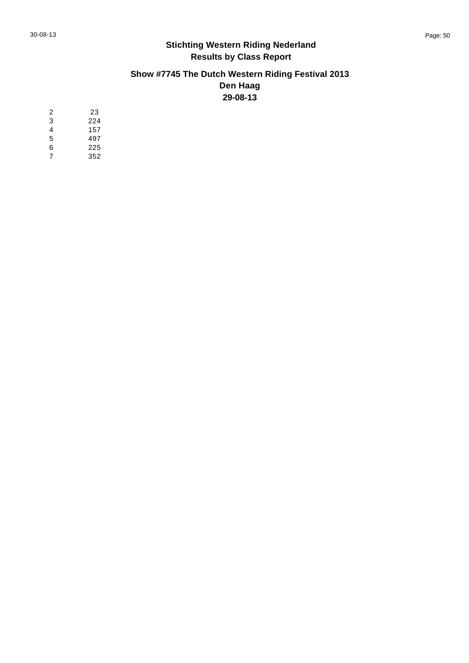# **Show #7745 The Dutch Western Riding Festival 2013 Den Haag 29-08-13**

| 2 | 23  |
|---|-----|
| 3 | 224 |
| 4 | 157 |
| 5 | 497 |
| 6 | 225 |
| 7 | 352 |
|   |     |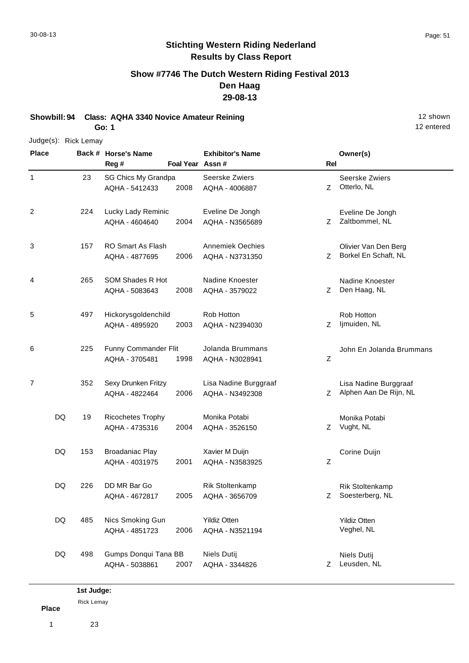**Show #7746 The Dutch Western Riding Festival 2013 Den Haag 29-08-13**

**Showbill: 94 Class: AQHA 3340 Novice Amateur Reining 12 shown 12 shown 12 shown** 

**Go: 1**

#### Judge(s): Rick Lemay **Back # Horse's Name Place Owner(s) Reg # Assn # Foal Year Rel Exhibitor's Name** 1 Z Otterlo, NL Seerske Zwiers 2008 AQHA - 4006887 Z Otterlo, NL SG Chics My Grandpa AQHA - 5412433 Seerske Zwiers 23 2 Z Zaltbommel, NL Eveline De Jongh 2004 Zaltbommel, NL AQHA - N3565689 Lucky Lady Reminic AQHA - 4604640 Eveline De Jongh 224 3 2006 AQHA - N3731350 Z Borkel En Schaft, NL Olivier Van Den Berg RO Smart As Flash AQHA - 4877695 Annemiek Oechies AQHA - N3731350 157 4 Z Den Haag, NL Nadine Knoester 2008 AQHA - 3579022 Z Den Haag, NL SOM Shades R Hot AQHA - 5083643 Nadine Knoester 265 5 Z ljmuiden, NL Rob Hotton 2003 Ijmuiden, NL AQHA - N2394030 Hickorysgoldenchild AQHA - 4895920 Rob Hotton 497 6 Z John En Jolanda Brummans 1998 Funny Commander Flit AQHA - 3705481 Jolanda Brummans AQHA - N3028941 225 7 2006 AQHA - N3492308 Z Alphen Aan De Rijn, NL Lisa Nadine Burggraaf Sexy Drunken Fritzy AQHA - 4822464 Lisa Nadine Burggraaf AQHA - N3492308 352 Z Vught, NL Monika Potabi 2004 AQHA - 3526150 Z Vught, NL Ricochetes Trophy AQHA - 4735316 Monika Potabi DQ 19 Z Corine Duijn 2001 Broadaniac Play AQHA - 4031975 Xavier M Duijn AQHA - N3583925 DQ 153 2005 AQHA - 3656709 Z Soesterberg, NL Rik Stoltenkamp DD MR Bar Go AQHA - 4672817 Rik Stoltenkamp AQHA - 3656709 DQ 226

Yildiz Otten 2006 Veghel, NL AQHA - N3521194 Nics Smoking Gun AQHA - 4851723 Yildiz Otten DQ 485 Z Leusden, NL Niels Dutij 2007 Leusden, NL AQHA - 3344826 Gumps Donqui Tana BB AQHA - 5038861 Niels Dutij DQ 498

**Place 1st Judge:**  Rick Lemay

1 23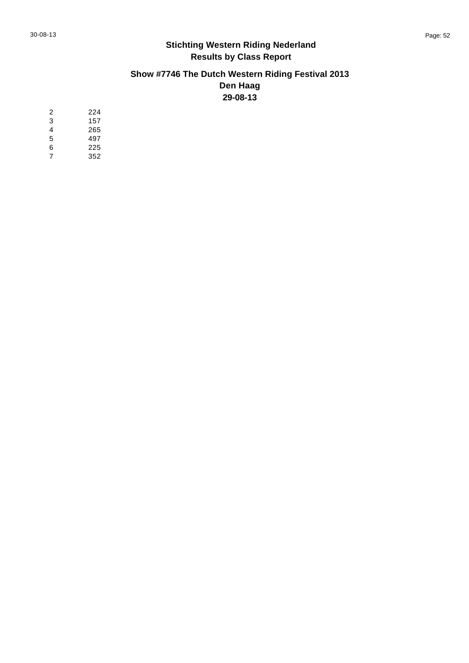# **Show #7746 The Dutch Western Riding Festival 2013 Den Haag 29-08-13**

| 2 | 224 |
|---|-----|
| 3 | 157 |
| 4 | 265 |
| 5 | 497 |
| 6 | 225 |
| 7 | 352 |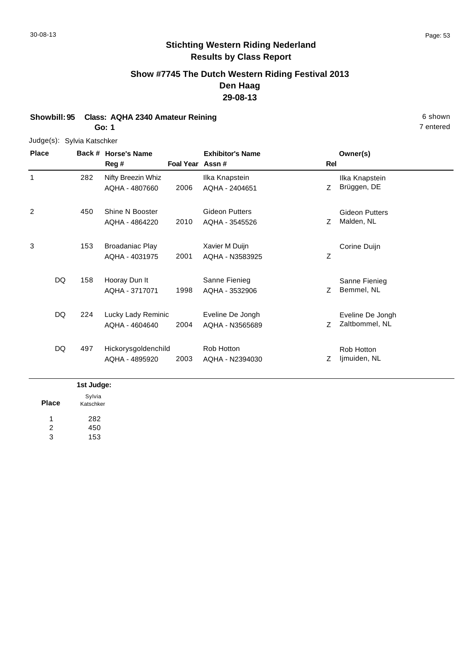# **Show #7745 The Dutch Western Riding Festival 2013 Den Haag 29-08-13**

#### **Showbill: 95 Class: AQHA 2340 Amateur Reining 6 Shown 6 Shown 6 shown 6 Shown Go: 1**

Judge(s): Sylvia Katschker

| <b>Place</b> | Back #    | <b>Horse's Name</b>    |                 | <b>Exhibitor's Name</b> |     | Owner(s)              |
|--------------|-----------|------------------------|-----------------|-------------------------|-----|-----------------------|
|              |           | Reg #                  | Foal Year Assn# |                         | Rel |                       |
| 1            | 282       | Nifty Breezin Whiz     |                 | Ilka Knapstein          |     | Ilka Knapstein        |
|              |           | AQHA - 4807660         | 2006            | AQHA - 2404651          | Ζ   | Brüggen, DE           |
| 2            | 450       | Shine N Booster        |                 | Gideon Putters          |     | <b>Gideon Putters</b> |
|              |           | AQHA - 4864220         | 2010            | AQHA - 3545526          | Ζ   | Malden, NL            |
| 3            | 153       | <b>Broadaniac Play</b> |                 | Xavier M Duijn          |     | Corine Duijn          |
|              |           | AQHA - 4031975         | 2001            | AQHA - N3583925         | Ζ   |                       |
|              | DQ<br>158 | Hooray Dun It          |                 | Sanne Fienieg           |     | Sanne Fienieg         |
|              |           | AQHA - 3717071         | 1998            | AQHA - 3532906          | Z   | Bemmel, NL            |
|              | DQ<br>224 | Lucky Lady Reminic     |                 | Eveline De Jongh        |     | Eveline De Jongh      |
|              |           | AQHA - 4604640         | 2004            | AQHA - N3565689         | Ζ   | Zaltbommel, NL        |
|              | DQ<br>497 | Hickorysgoldenchild    |                 | Rob Hotton              |     | Rob Hotton            |
|              |           | AQHA - 4895920         | 2003            | AQHA - N2394030         | Ζ   | Ijmuiden, NL          |

|       | 1st Judge: |
|-------|------------|
|       | Sylvia     |
| Place | Katschker  |
| 1     | 282        |
| 2     | 450        |
| ঽ     | 153        |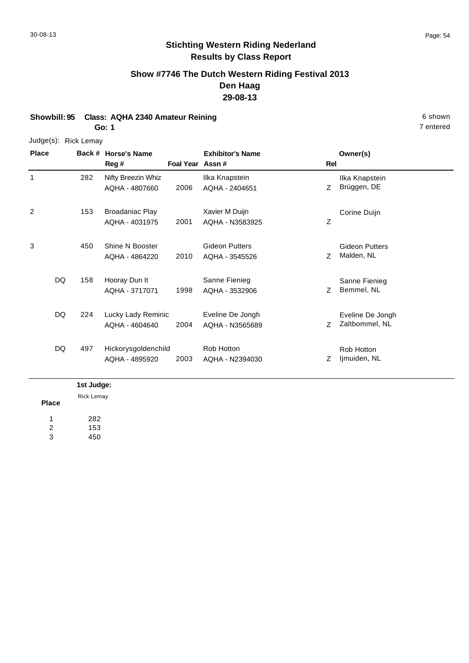## **Show #7746 The Dutch Western Riding Festival 2013 Den Haag 29-08-13**

**Showbill: 95 Class: AQHA 2340 Amateur Reining 6 shown by a strategy of shown by a strategy of shown by a strategy of shown by a shown by a shown by a shown by a shown by a shown by a shown by a shown by a shown by a shown** 

**Go: 1**

#### Judge(s): Rick Lemay

**Back # Horse's Name Place Owner(s) Reg # Assn # Foal Year Rel Exhibitor's Name** 1 Z Ilka Knapstein 2006 Brüggen, DE AQHA - 2404651 Nifty Breezin Whiz AQHA - 4807660 Ilka Knapstein 282 2 Z Corine Duijn 2001 Broadaniac Play AQHA - 4031975 Xavier M Duijn AQHA - N3583925 153 3 Z Malden, NL Gideon Putters 2010 AQHA - 3545526 Z Malden, NL Shine N Booster AQHA - 4864220 Gideon Putters 450 Z Bemmel, NL Sanne Fienieg 1998 Bemmel, NL AQHA - 3532906 Hooray Dun It AQHA - 3717071 Sanne Fienieg DQ 158 Z Zaltbommel, NL Eveline De Jongh 2004 Zaltbommel, NL AQHA - N3565689 Lucky Lady Reminic AQHA - 4604640 Eveline De Jongh DQ 224 Z ljmuiden, NL Rob Hotton 2003 Ijmuiden, NL AQHA - N2394030 Hickorysgoldenchild AQHA - 4895920 Rob Hotton DQ 497

#### **1st Judge:**

**Place** 282 153 450 1 2 3 Rick Lemay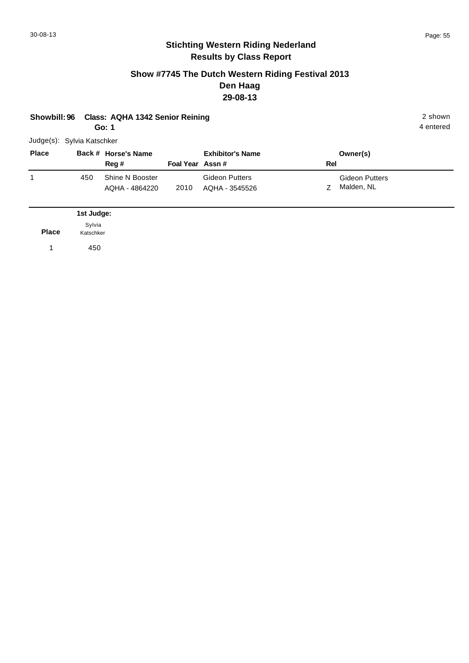#### **Show #7745 The Dutch Western Riding Festival 2013 Den Haag 29-08-13**

|  | Showbill: 96 Class: AQHA 1342 Senior Reining | 2 shown |
|--|----------------------------------------------|---------|
|--|----------------------------------------------|---------|

**Go: 1**

| Judge(s): Sylvia Katschker |
|----------------------------|
|                            |

| <b>Place</b> |     | Back # Horse's Name<br>Reg #      | Foal Year Assn# | <b>Exhibitor's Name</b>                 | Rel | Owner(s)                            |
|--------------|-----|-----------------------------------|-----------------|-----------------------------------------|-----|-------------------------------------|
|              | 450 | Shine N Booster<br>AQHA - 4864220 | 2010            | <b>Gideon Putters</b><br>AQHA - 3545526 |     | <b>Gideon Putters</b><br>Malden, NL |

|       | 1st Judge:          |
|-------|---------------------|
| Place | Sylvia<br>Katschker |
|       | 450                 |